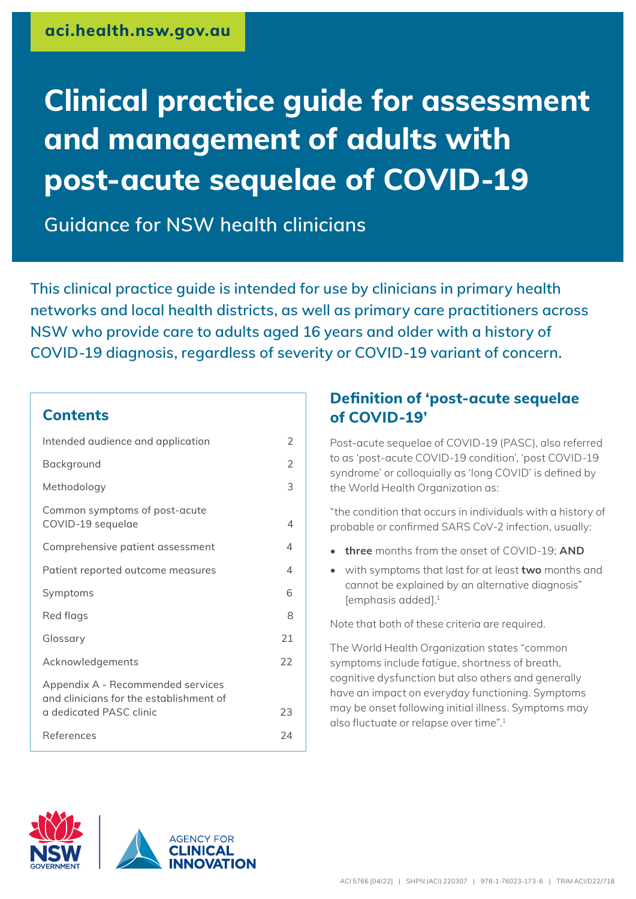# **Clinical practice guide for assessment and management of adults with post-acute sequelae of COVID-19**

**Guidance for NSW health clinicians**

**This clinical practice guide is intended for use by clinicians in primary health networks and local health districts, as well as primary care practitioners across NSW who provide care to adults aged 16 years and older with a history of COVID-19 diagnosis, regardless of severity or COVID-19 variant of concern.**

#### **Contents**

| 2  |
|----|
| 2  |
| 3  |
| 4  |
| 4  |
| 4  |
| 6  |
| 8  |
| 21 |
| 22 |
|    |
| 23 |
| 24 |
|    |

### **Definition of 'post-acute sequelae of COVID-19'**

Post-acute sequelae of COVID-19 (PASC), also referred to as 'post-acute COVID-19 condition', 'post COVID-19 syndrome' or colloquially as 'long COVID' is defined by the World Health Organization as:

"the condition that occurs in individuals with a history of probable or confirmed SARS CoV-2 infection, usually:

- **• three** months from the onset of COVID-19; **AND**
- with symptoms that last for at least **two** months and cannot be explained by an alternative diagnosis" [emphasis added]. 1

Note that both of these criteria are required.

The World Health Organization states "common symptoms include fatigue, shortness of breath, cognitive dysfunction but also others and generally have an impact on everyday functioning. Symptoms may be onset following initial illness. Symptoms may also fluctuate or relapse over time".<sup>1</sup>



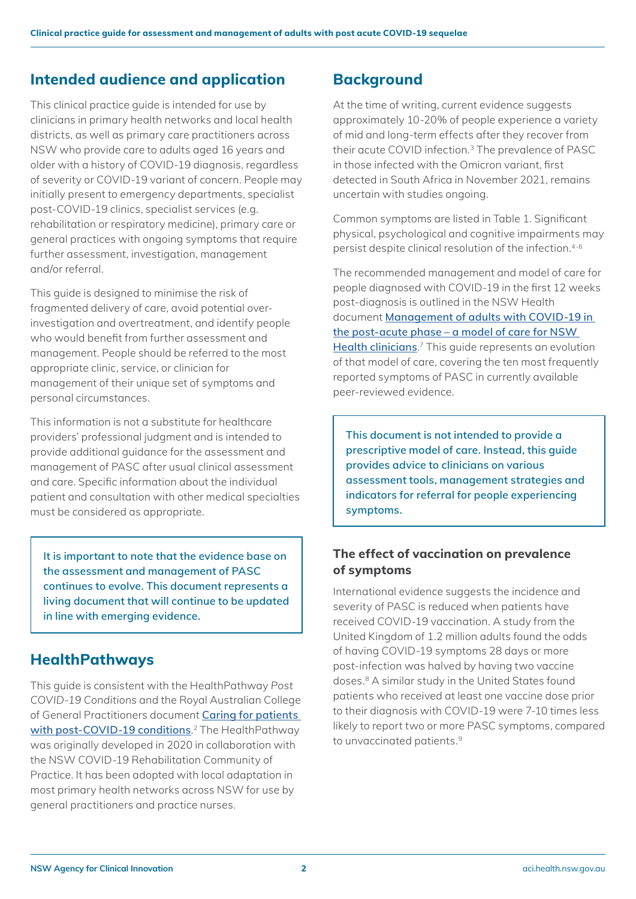### <span id="page-1-0"></span>**Intended audience and application**

This clinical practice guide is intended for use by clinicians in primary health networks and local health districts, as well as primary care practitioners across NSW who provide care to adults aged 16 years and older with a history of COVID-19 diagnosis, regardless of severity or COVID-19 variant of concern. People may initially present to emergency departments, specialist post-COVID-19 clinics, specialist services (e.g. rehabilitation or respiratory medicine), primary care or general practices with ongoing symptoms that require further assessment, investigation, management and/or referral.

This guide is designed to minimise the risk of fragmented delivery of care, avoid potential overinvestigation and overtreatment, and identify people who would benefit from further assessment and management. People should be referred to the most appropriate clinic, service, or clinician for management of their unique set of symptoms and personal circumstances.

This information is not a substitute for healthcare providers' professional judgment and is intended to provide additional guidance for the assessment and management of PASC after usual clinical assessment and care. Specific information about the individual patient and consultation with other medical specialties must be considered as appropriate.

**It is important to note that the evidence base on the assessment and management of PASC continues to evolve. This document represents a living document that will continue to be updated in line with emerging evidence.**

### **HealthPathways**

This guide is consistent with the HealthPathway *Post COVID-19 Conditions* and the Royal Australian College of General Practitioners document **[Caring for patients](https://www.racgp.org.au/FSDEDEV/media/documents/RACGP/Coronavirus/Post-COVID-19-conditions.pdf)  [with post-COVID-19 conditions](https://www.racgp.org.au/FSDEDEV/media/documents/RACGP/Coronavirus/Post-COVID-19-conditions.pdf)**. 2 The HealthPathway was originally developed in 2020 in collaboration with the NSW COVID-19 Rehabilitation Community of Practice. It has been adopted with local adaptation in most primary health networks across NSW for use by general practitioners and practice nurses.

### **Background**

At the time of writing, current evidence suggests approximately 10-20% of people experience a variety of mid and long-term effects after they recover from their acute COVID infection.3 The prevalence of PASC in those infected with the Omicron variant, first detected in South Africa in November 2021, remains uncertain with studies ongoing.

Common symptoms are listed in Table 1. Significant physical, psychological and cognitive impairments may persist despite clinical resolution of the infection.4-6

The recommended management and model of care for people diagnosed with COVID-19 in the first 12 weeks post-diagnosis is outlined in the NSW Health document **[Management of adults with COVID-19 in](https://www.health.nsw.gov.au/Infectious/covid-19/communities-of-practice/Pages/guide-mgmt-adult-post-acute.aspx)  [the post-acute phase – a model of care for NSW](https://www.health.nsw.gov.au/Infectious/covid-19/communities-of-practice/Pages/guide-mgmt-adult-post-acute.aspx)  [Health clinicians](https://www.health.nsw.gov.au/Infectious/covid-19/communities-of-practice/Pages/guide-mgmt-adult-post-acute.aspx)**. 7 This guide represents an evolution of that model of care, covering the ten most frequently reported symptoms of PASC in currently available peer-reviewed evidence.

**This document is not intended to provide a prescriptive model of care. Instead, this guide provides advice to clinicians on various assessment tools, management strategies and indicators for referral for people experiencing symptoms.** 

### **The effect of vaccination on prevalence of symptoms**

International evidence suggests the incidence and severity of PASC is reduced when patients have received COVID-19 vaccination. A study from the United Kingdom of 1.2 million adults found the odds of having COVID-19 symptoms 28 days or more post-infection was halved by having two vaccine doses.8 A similar study in the United States found patients who received at least one vaccine dose prior to their diagnosis with COVID-19 were 7-10 times less likely to report two or more PASC symptoms, compared to unvaccinated patients.<sup>9</sup>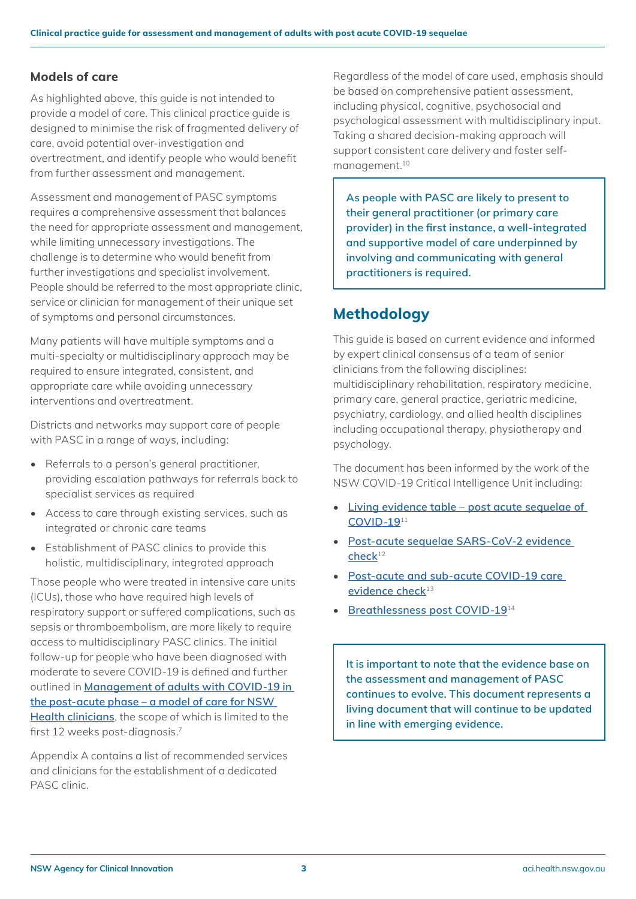#### <span id="page-2-0"></span>**Models of care**

As highlighted above, this guide is not intended to provide a model of care. This clinical practice guide is designed to minimise the risk of fragmented delivery of care, avoid potential over-investigation and overtreatment, and identify people who would benefit from further assessment and management.

Assessment and management of PASC symptoms requires a comprehensive assessment that balances the need for appropriate assessment and management, while limiting unnecessary investigations. The challenge is to determine who would benefit from further investigations and specialist involvement. People should be referred to the most appropriate clinic, service or clinician for management of their unique set of symptoms and personal circumstances.

Many patients will have multiple symptoms and a multi-specialty or multidisciplinary approach may be required to ensure integrated, consistent, and appropriate care while avoiding unnecessary interventions and overtreatment.

Districts and networks may support care of people with PASC in a range of ways, including:

- Referrals to a person's general practitioner, providing escalation pathways for referrals back to specialist services as required
- Access to care through existing services, such as integrated or chronic care teams
- Establishment of PASC clinics to provide this holistic, multidisciplinary, integrated approach

Those people who were treated in intensive care units (ICUs), those who have required high levels of respiratory support or suffered complications, such as sepsis or thromboembolism, are more likely to require access to multidisciplinary PASC clinics. The initial follow-up for people who have been diagnosed with moderate to severe COVID-19 is defined and further outlined in **[Management of adults with COVID-19 in](https://www.health.nsw.gov.au/Infectious/covid-19/communities-of-practice/Pages/guide-mgmt-adult-post-acute.aspx)  [the post-acute phase – a model of care for NSW](https://www.health.nsw.gov.au/Infectious/covid-19/communities-of-practice/Pages/guide-mgmt-adult-post-acute.aspx)  [Health clinicians](https://www.health.nsw.gov.au/Infectious/covid-19/communities-of-practice/Pages/guide-mgmt-adult-post-acute.aspx)**, the scope of which is limited to the first 12 weeks post-diagnosis.<sup>7</sup>

Appendix A contains a list of recommended services and clinicians for the establishment of a dedicated PASC clinic.

Regardless of the model of care used, emphasis should be based on comprehensive patient assessment, including physical, cognitive, psychosocial and psychological assessment with multidisciplinary input. Taking a shared decision-making approach will support consistent care delivery and foster selfmanagement.10

**As people with PASC are likely to present to their general practitioner (or primary care provider) in the first instance, a well-integrated and supportive model of care underpinned by involving and communicating with general practitioners is required.**

### **Methodology**

This guide is based on current evidence and informed by expert clinical consensus of a team of senior clinicians from the following disciplines: multidisciplinary rehabilitation, respiratory medicine, primary care, general practice, geriatric medicine, psychiatry, cardiology, and allied health disciplines including occupational therapy, physiotherapy and psychology.

The document has been informed by the work of the NSW COVID-19 Critical Intelligence Unit including:

- **[Living evidence table post acute sequelae of](https://aci.health.nsw.gov.au/covid-19/critical-intelligence-unit/post-acute-sequelae)  [COVID-19](https://aci.health.nsw.gov.au/covid-19/critical-intelligence-unit/post-acute-sequelae)**<sup>11</sup>
- **[Post-acute sequelae SARS-CoV-2 evidence](https://aci.health.nsw.gov.au/__data/assets/pdf_file/0015/642120/Evidence-Check-Post-acute-sequelae-SARSCoV2.pdf)  [check](https://aci.health.nsw.gov.au/__data/assets/pdf_file/0015/642120/Evidence-Check-Post-acute-sequelae-SARSCoV2.pdf)**<sup>12</sup>
- **[Post-acute and sub-acute COVID-19 care](https://aci.health.nsw.gov.au/__data/assets/pdf_file/0008/685097/Evidence-Check-Post-acute-and-subacute-COVID-19-care.pdf)  [evidence check](https://aci.health.nsw.gov.au/__data/assets/pdf_file/0008/685097/Evidence-Check-Post-acute-and-subacute-COVID-19-care.pdf)**<sup>13</sup>
- **[Breathlessness post COVID-19](https://aci.health.nsw.gov.au/__data/assets/pdf_file/0004/723613/Evidence-Check-Breathlessness-post-COVID-19.pdf)**<sup>14</sup>

**It is important to note that the evidence base on the assessment and management of PASC continues to evolve. This document represents a living document that will continue to be updated in line with emerging evidence.**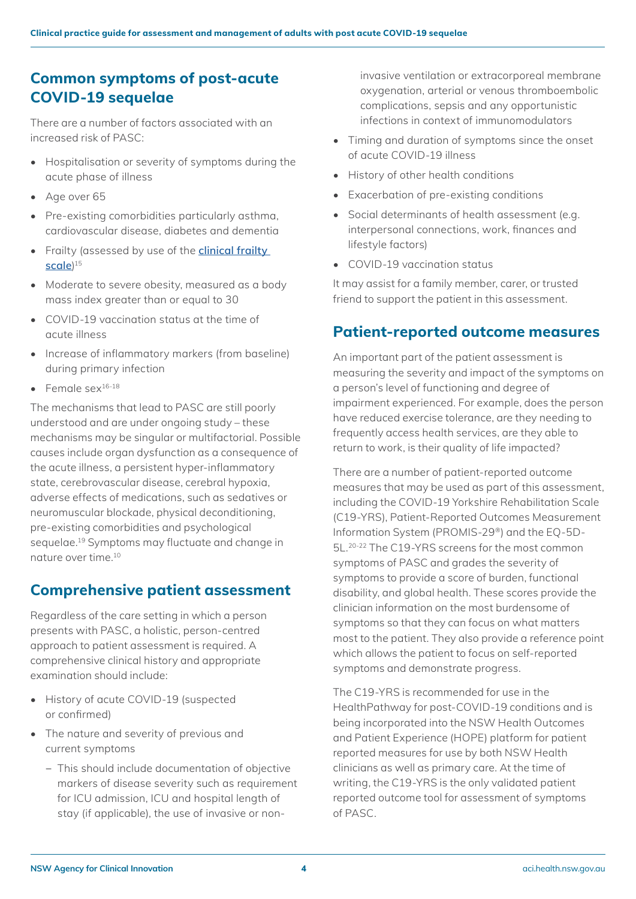### <span id="page-3-0"></span>**Common symptoms of post-acute COVID-19 sequelae**

There are a number of factors associated with an increased risk of PASC:

- Hospitalisation or severity of symptoms during the acute phase of illness
- Age over 65
- Pre-existing comorbidities particularly asthma, cardiovascular disease, diabetes and dementia
- Frailty (assessed by use of the **[clinical frailty](https://www.bgs.org.uk/sites/default/files/content/attachment/2018-07-05/rockwood_cfs.pdf)  [scale](https://www.bgs.org.uk/sites/default/files/content/attachment/2018-07-05/rockwood_cfs.pdf)**) 15
- Moderate to severe obesity, measured as a body mass index greater than or equal to 30
- COVID-19 vaccination status at the time of acute illness
- Increase of inflammatory markers (from baseline) during primary infection
- Female sex $16-18$

The mechanisms that lead to PASC are still poorly understood and are under ongoing study – these mechanisms may be singular or multifactorial. Possible causes include organ dysfunction as a consequence of the acute illness, a persistent hyper-inflammatory state, cerebrovascular disease, cerebral hypoxia, adverse effects of medications, such as sedatives or neuromuscular blockade, physical deconditioning, pre-existing comorbidities and psychological sequelae.19 Symptoms may fluctuate and change in nature over time 10

### **Comprehensive patient assessment**

Regardless of the care setting in which a person presents with PASC, a holistic, person-centred approach to patient assessment is required. A comprehensive clinical history and appropriate examination should include:

- History of acute COVID-19 (suspected or confirmed)
- The nature and severity of previous and current symptoms
	- − This should include documentation of objective markers of disease severity such as requirement for ICU admission, ICU and hospital length of stay (if applicable), the use of invasive or non-

invasive ventilation or extracorporeal membrane oxygenation, arterial or venous thromboembolic complications, sepsis and any opportunistic infections in context of immunomodulators

- Timing and duration of symptoms since the onset of acute COVID-19 illness
- History of other health conditions
- Exacerbation of pre-existing conditions
- Social determinants of health assessment (e.g. interpersonal connections, work, finances and lifestyle factors)
- COVID-19 vaccination status

It may assist for a family member, carer, or trusted friend to support the patient in this assessment.

### **Patient-reported outcome measures**

An important part of the patient assessment is measuring the severity and impact of the symptoms on a person's level of functioning and degree of impairment experienced. For example, does the person have reduced exercise tolerance, are they needing to frequently access health services, are they able to return to work, is their quality of life impacted?

There are a number of patient-reported outcome measures that may be used as part of this assessment, including the COVID-19 Yorkshire Rehabilitation Scale (C19-YRS), Patient-Reported Outcomes Measurement Information System (PROMIS-29®) and the EQ-5D-5L.20-22 The C19-YRS screens for the most common symptoms of PASC and grades the severity of symptoms to provide a score of burden, functional disability, and global health. These scores provide the clinician information on the most burdensome of symptoms so that they can focus on what matters most to the patient. They also provide a reference point which allows the patient to focus on self-reported symptoms and demonstrate progress.

The C19-YRS is recommended for use in the HealthPathway for post-COVID-19 conditions and is being incorporated into the NSW Health Outcomes and Patient Experience (HOPE) platform for patient reported measures for use by both NSW Health clinicians as well as primary care. At the time of writing, the C19-YRS is the only validated patient reported outcome tool for assessment of symptoms of PASC.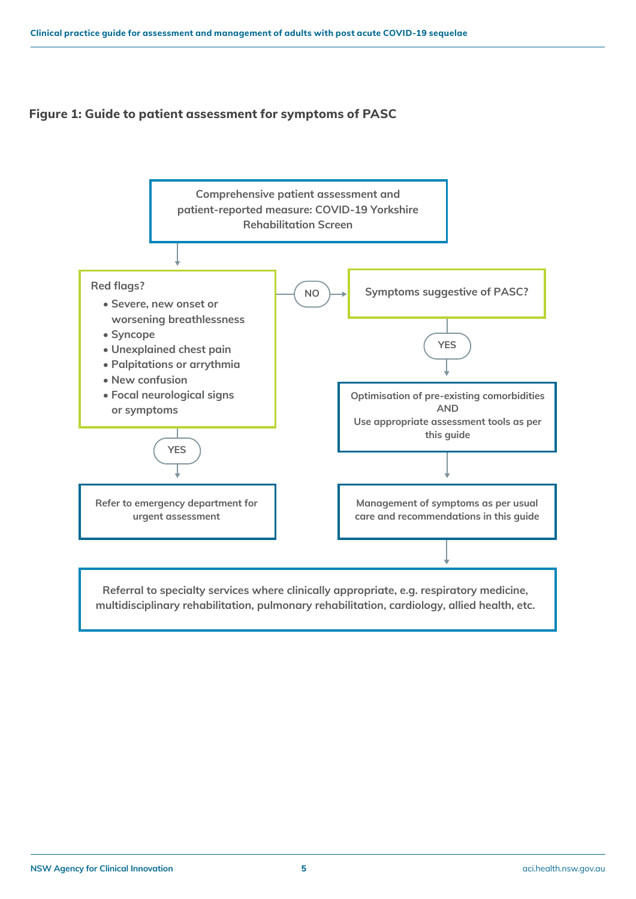#### **Figure 1: Guide to patient assessment for symptoms of PASC**



**multidisciplinary rehabilitation, pulmonary rehabilitation, cardiology, allied health, etc.**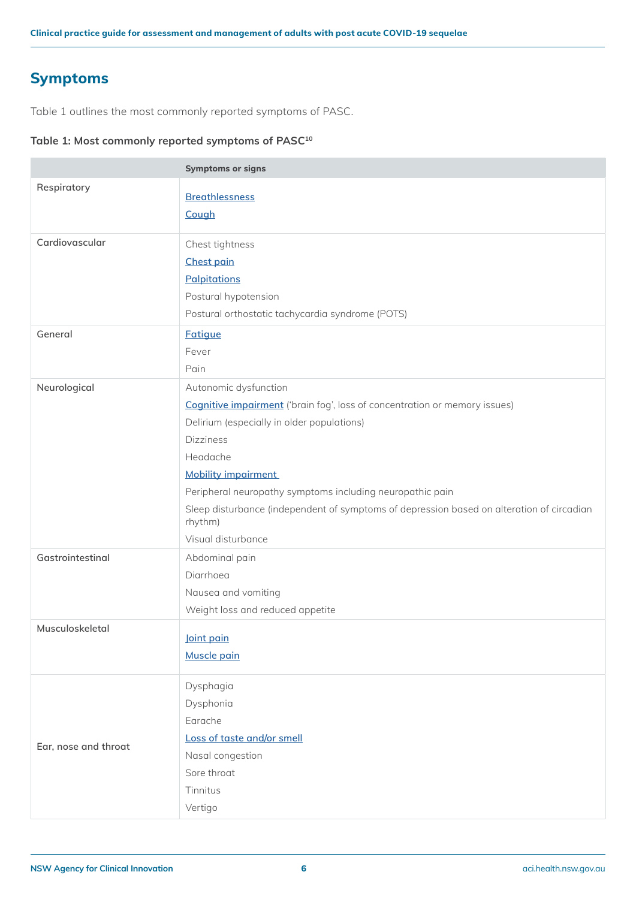### <span id="page-5-0"></span>**Symptoms**

Table 1 outlines the most commonly reported symptoms of PASC.

#### **Table 1: Most commonly reported symptoms of PASC10**

|                      | <b>Symptoms or signs</b>                                                                                                                                                                                                                                                                                                                                                                                          |
|----------------------|-------------------------------------------------------------------------------------------------------------------------------------------------------------------------------------------------------------------------------------------------------------------------------------------------------------------------------------------------------------------------------------------------------------------|
| Respiratory          | <b>Breathlessness</b><br>Cough                                                                                                                                                                                                                                                                                                                                                                                    |
| Cardiovascular       | Chest tightness<br><b>Chest pain</b><br><b>Palpitations</b><br>Postural hypotension<br>Postural orthostatic tachycardia syndrome (POTS)                                                                                                                                                                                                                                                                           |
| General              | <b>Fatigue</b><br>Fever<br>Pain                                                                                                                                                                                                                                                                                                                                                                                   |
| Neurological         | Autonomic dysfunction<br><b>Cognitive impairment</b> ('brain fog', loss of concentration or memory issues)<br>Delirium (especially in older populations)<br><b>Dizziness</b><br>Headache<br><b>Mobility impairment</b><br>Peripheral neuropathy symptoms including neuropathic pain<br>Sleep disturbance (independent of symptoms of depression based on alteration of circadian<br>rhythm)<br>Visual disturbance |
| Gastrointestinal     | Abdominal pain<br>Diarrhoea<br>Nausea and vomiting<br>Weight loss and reduced appetite                                                                                                                                                                                                                                                                                                                            |
| Musculoskeletal      | <u>Joint pain</u><br>Muscle pain                                                                                                                                                                                                                                                                                                                                                                                  |
| Ear, nose and throat | Dysphagia<br>Dysphonia<br>Earache<br>Loss of taste and/or smell<br>Nasal congestion<br>Sore throat<br>Tinnitus<br>Vertigo                                                                                                                                                                                                                                                                                         |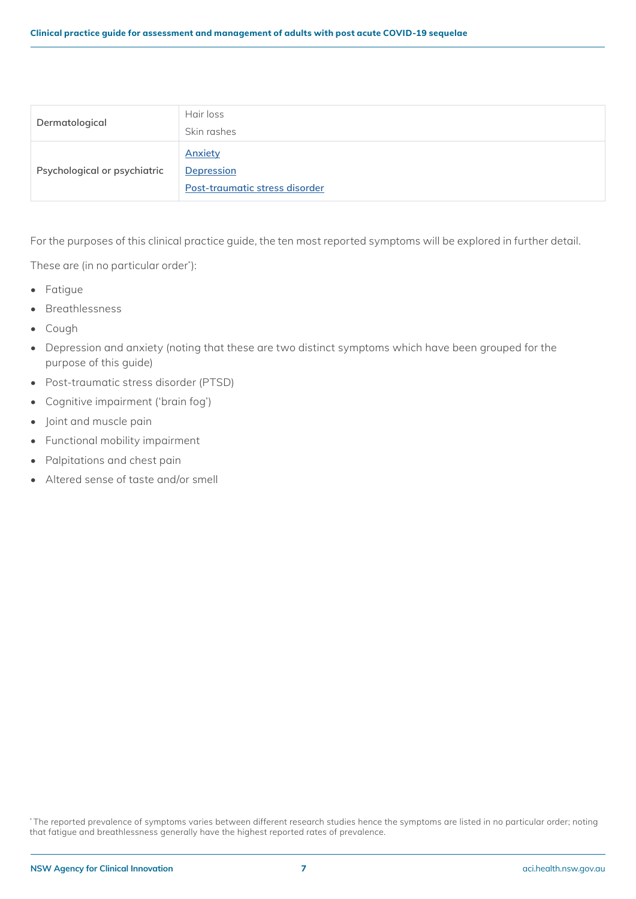| Dermatological               | Hair loss<br>Skin rashes                                              |
|------------------------------|-----------------------------------------------------------------------|
| Psychological or psychiatric | <b>Anxiety</b><br><b>Depression</b><br>Post-traumatic stress disorder |

For the purposes of this clinical practice guide, the ten most reported symptoms will be explored in further detail.

These are (in no particular order\* ):

- Fatigue
- Breathlessness
- Cough
- Depression and anxiety (noting that these are two distinct symptoms which have been grouped for the purpose of this guide)
- Post-traumatic stress disorder (PTSD)
- Cognitive impairment ('brain fog')
- Joint and muscle pain
- Functional mobility impairment
- Palpitations and chest pain
- Altered sense of taste and/or smell

\* The reported prevalence of symptoms varies between different research studies hence the symptoms are listed in no particular order; noting that fatigue and breathlessness generally have the highest reported rates of prevalence.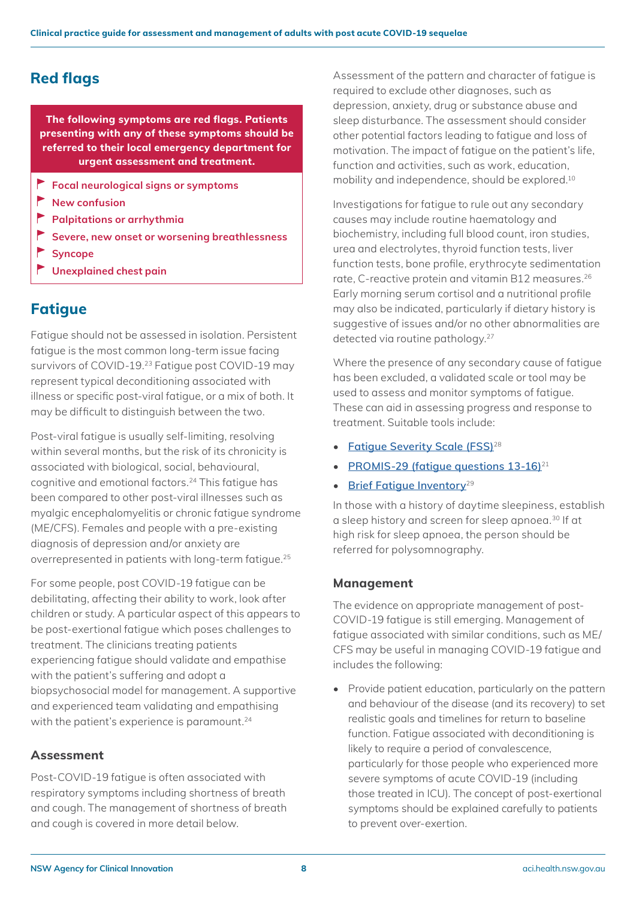**The following symptoms are red flags. Patients presenting with any of these symptoms should be referred to their local emergency department for urgent assessment and treatment.**

- **Focal neurological signs or symptoms**
- **New confusion**
- **Palpitations or arrhythmia**
- **Severe, new onset or worsening breathlessness**
- **Syncope**
- **Unexplained chest pain**

### <span id="page-7-1"></span>**Fatigue**

Fatigue should not be assessed in isolation. Persistent fatigue is the most common long-term issue facing survivors of COVID-19.23 Fatigue post COVID-19 may represent typical deconditioning associated with illness or specific post-viral fatigue, or a mix of both. It may be difficult to distinguish between the two.

Post-viral fatigue is usually self-limiting, resolving within several months, but the risk of its chronicity is associated with biological, social, behavioural, cognitive and emotional factors.24 This fatigue has been compared to other post-viral illnesses such as myalgic encephalomyelitis or chronic fatigue syndrome (ME/CFS). Females and people with a pre-existing diagnosis of depression and/or anxiety are overrepresented in patients with long-term fatigue.25

For some people, post COVID-19 fatigue can be debilitating, affecting their ability to work, look after children or study. A particular aspect of this appears to be post-exertional fatigue which poses challenges to treatment. The clinicians treating patients experiencing fatigue should validate and empathise with the patient's suffering and adopt a biopsychosocial model for management. A supportive and experienced team validating and empathising with the patient's experience is paramount.<sup>24</sup>

#### **Assessment**

Post-COVID-19 fatigue is often associated with respiratory symptoms including shortness of breath and cough. The management of shortness of breath and cough is covered in more detail below.

<span id="page-7-0"></span>**Red flags Assessment of the pattern and character of fatigue is** required to exclude other diagnoses, such as depression, anxiety, drug or substance abuse and sleep disturbance. The assessment should consider other potential factors leading to fatigue and loss of motivation. The impact of fatigue on the patient's life, function and activities, such as work, education, mobility and independence, should be explored.<sup>10</sup>

> Investigations for fatigue to rule out any secondary causes may include routine haematology and biochemistry, including full blood count, iron studies, urea and electrolytes, thyroid function tests, liver function tests, bone profile, erythrocyte sedimentation rate, C-reactive protein and vitamin B12 measures.26 Early morning serum cortisol and a nutritional profile may also be indicated, particularly if dietary history is suggestive of issues and/or no other abnormalities are detected via routine pathology.<sup>27</sup>

> Where the presence of any secondary cause of fatigue has been excluded, a validated scale or tool may be used to assess and monitor symptoms of fatigue. These can aid in assessing progress and response to treatment. Suitable tools include:

- **[Fatigue Severity Scale \(FSS\)](https://www.mdapp.co/fatigue-severity-scale-fss-calculator-372/)**<sup>28</sup>
- **[PROMIS-29 \(fatigue questions 13-16\)](https://aci.health.nsw.gov.au/__data/assets/pdf_file/0006/632859/Patient-Reported-Outcome-Measures-Information-System-PROMIS-29-Profile.pdf)**<sup>21</sup>
- **[Brief Fatigue Inventory](http://www.npcrc.org/files/news/brief_fatigue_inventory.pdf)**<sup>29</sup>

In those with a history of daytime sleepiness, establish a sleep history and screen for sleep apnoea.30 If at high risk for sleep apnoea, the person should be referred for polysomnography.

#### **Management**

The evidence on appropriate management of post-COVID-19 fatigue is still emerging. Management of fatigue associated with similar conditions, such as ME/ CFS may be useful in managing COVID-19 fatigue and includes the following:

• Provide patient education, particularly on the pattern and behaviour of the disease (and its recovery) to set realistic goals and timelines for return to baseline function. Fatigue associated with deconditioning is likely to require a period of convalescence, particularly for those people who experienced more severe symptoms of acute COVID-19 (including those treated in ICU). The concept of post-exertional symptoms should be explained carefully to patients to prevent over-exertion.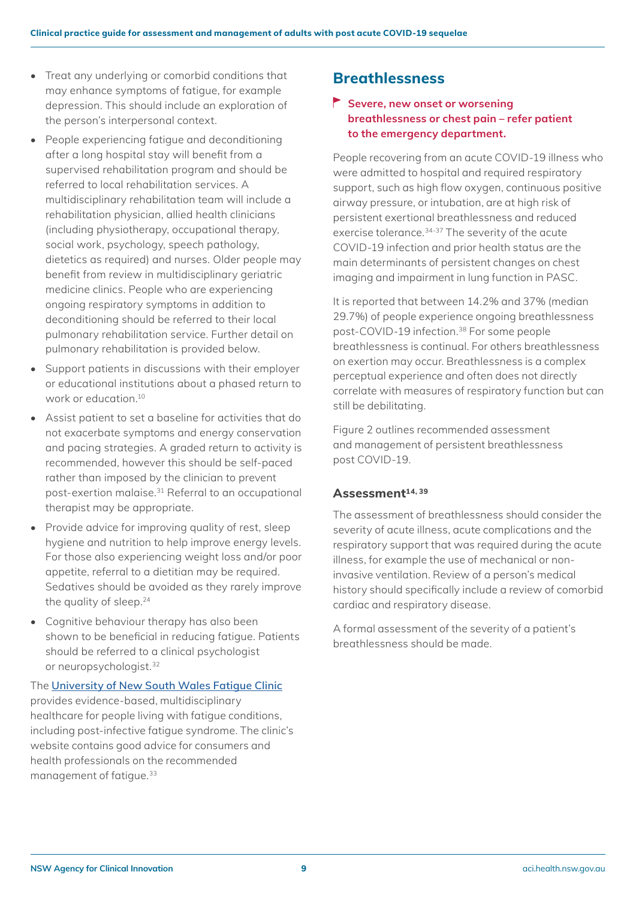- Treat any underlying or comorbid conditions that may enhance symptoms of fatigue, for example depression. This should include an exploration of the person's interpersonal context.
- People experiencing fatigue and deconditioning after a long hospital stay will benefit from a supervised rehabilitation program and should be referred to local rehabilitation services. A multidisciplinary rehabilitation team will include a rehabilitation physician, allied health clinicians (including physiotherapy, occupational therapy, social work, psychology, speech pathology, dietetics as required) and nurses. Older people may benefit from review in multidisciplinary geriatric medicine clinics. People who are experiencing ongoing respiratory symptoms in addition to deconditioning should be referred to their local pulmonary rehabilitation service. Further detail on pulmonary rehabilitation is provided below.
- Support patients in discussions with their employer or educational institutions about a phased return to work or education.10
- Assist patient to set a baseline for activities that do not exacerbate symptoms and energy conservation and pacing strategies. A graded return to activity is recommended, however this should be self-paced rather than imposed by the clinician to prevent post-exertion malaise.31 Referral to an occupational therapist may be appropriate.
- Provide advice for improving quality of rest, sleep hygiene and nutrition to help improve energy levels. For those also experiencing weight loss and/or poor appetite, referral to a dietitian may be required. Sedatives should be avoided as they rarely improve the quality of sleep.<sup>24</sup>
- Cognitive behaviour therapy has also been shown to be beneficial in reducing fatigue. Patients should be referred to a clinical psychologist or neuropsychologist.<sup>32</sup>

The **[University of New South Wales Fatigue Clinic](https://www.fatigueclinic.unsw.edu.au/)** provides evidence-based, multidisciplinary healthcare for people living with fatigue conditions, including post-infective fatigue syndrome. The clinic's website contains good advice for consumers and health professionals on the recommended management of fatigue.33

### <span id="page-8-0"></span>**Breathlessness**

#### **Severe, new onset or worsening breathlessness or chest pain – refer patient to the emergency department.**

People recovering from an acute COVID-19 illness who were admitted to hospital and required respiratory support, such as high flow oxygen, continuous positive airway pressure, or intubation, are at high risk of persistent exertional breathlessness and reduced exercise tolerance.34-37 The severity of the acute COVID-19 infection and prior health status are the main determinants of persistent changes on chest imaging and impairment in lung function in PASC.

It is reported that between 14.2% and 37% (median 29.7%) of people experience ongoing breathlessness post-COVID-19 infection.38 For some people breathlessness is continual. For others breathlessness on exertion may occur. Breathlessness is a complex perceptual experience and often does not directly correlate with measures of respiratory function but can still be debilitating.

Figure 2 outlines recommended assessment and management of persistent breathlessness post COVID-19.

#### **Assessment14, 39**

The assessment of breathlessness should consider the severity of acute illness, acute complications and the respiratory support that was required during the acute illness, for example the use of mechanical or noninvasive ventilation. Review of a person's medical history should specifically include a review of comorbid cardiac and respiratory disease.

A formal assessment of the severity of a patient's breathlessness should be made.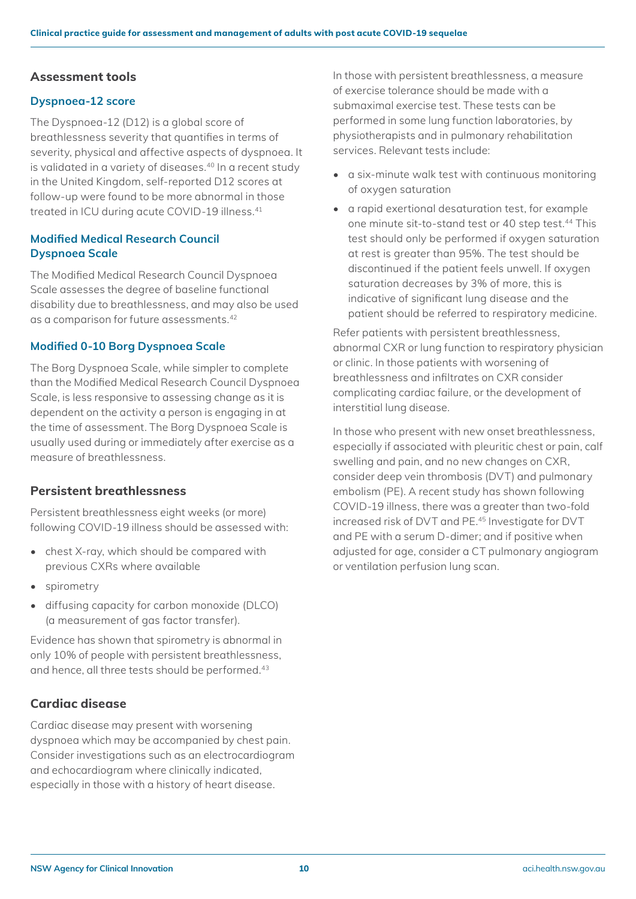#### **Assessment tools**

#### **Dyspnoea-12 score**

The Dyspnoea-12 (D12) is a global score of breathlessness severity that quantifies in terms of severity, physical and affective aspects of dyspnoea. It is validated in a variety of diseases.<sup>40</sup> In a recent study in the United Kingdom, self-reported D12 scores at follow-up were found to be more abnormal in those treated in ICU during acute COVID-19 illness.41

#### **Modified Medical Research Council Dyspnoea Scale**

The Modified Medical Research Council Dyspnoea Scale assesses the degree of baseline functional disability due to breathlessness, and may also be used as a comparison for future assessments.42

#### **Modified 0-10 Borg Dyspnoea Scale**

The Borg Dyspnoea Scale, while simpler to complete than the Modified Medical Research Council Dyspnoea Scale, is less responsive to assessing change as it is dependent on the activity a person is engaging in at the time of assessment. The Borg Dyspnoea Scale is usually used during or immediately after exercise as a measure of breathlessness.

#### **Persistent breathlessness**

Persistent breathlessness eight weeks (or more) following COVID-19 illness should be assessed with:

- chest X-ray, which should be compared with previous CXRs where available
- spirometry
- diffusing capacity for carbon monoxide (DLCO) (a measurement of gas factor transfer).

Evidence has shown that spirometry is abnormal in only 10% of people with persistent breathlessness, and hence, all three tests should be performed.<sup>43</sup>

#### **Cardiac disease**

Cardiac disease may present with worsening dyspnoea which may be accompanied by chest pain. Consider investigations such as an electrocardiogram and echocardiogram where clinically indicated, especially in those with a history of heart disease.

In those with persistent breathlessness, a measure of exercise tolerance should be made with a submaximal exercise test. These tests can be performed in some lung function laboratories, by physiotherapists and in pulmonary rehabilitation services. Relevant tests include:

- a six-minute walk test with continuous monitoring of oxygen saturation
- a rapid exertional desaturation test, for example one minute sit-to-stand test or 40 step test.<sup>44</sup> This test should only be performed if oxygen saturation at rest is greater than 95%. The test should be discontinued if the patient feels unwell. If oxygen saturation decreases by 3% of more, this is indicative of significant lung disease and the patient should be referred to respiratory medicine.

Refer patients with persistent breathlessness, abnormal CXR or lung function to respiratory physician or clinic. In those patients with worsening of breathlessness and infiltrates on CXR consider complicating cardiac failure, or the development of interstitial lung disease.

In those who present with new onset breathlessness, especially if associated with pleuritic chest or pain, calf swelling and pain, and no new changes on CXR, consider deep vein thrombosis (DVT) and pulmonary embolism (PE). A recent study has shown following COVID-19 illness, there was a greater than two-fold increased risk of DVT and PE.45 Investigate for DVT and PE with a serum D-dimer; and if positive when adjusted for age, consider a CT pulmonary angiogram or ventilation perfusion lung scan.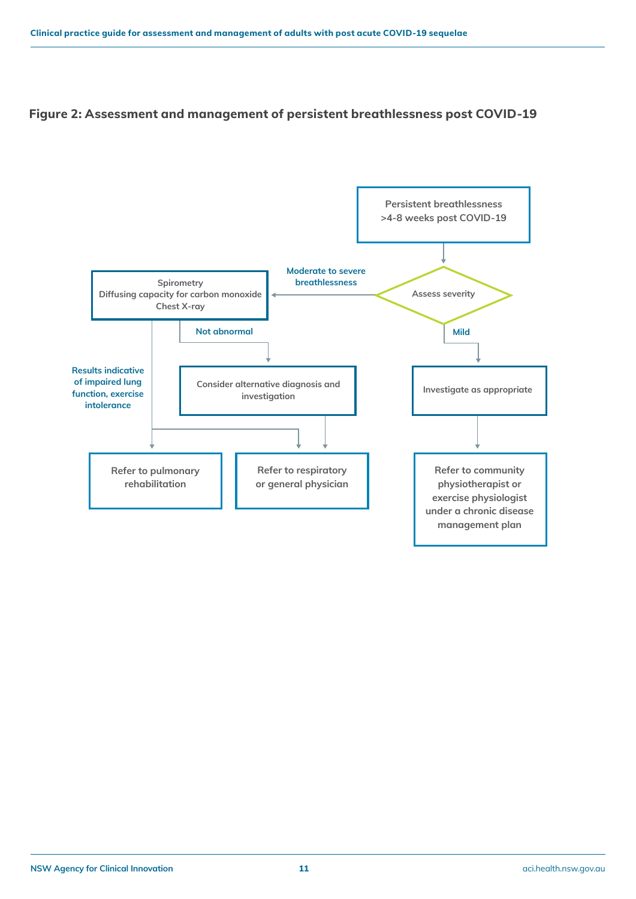#### **Figure 2: Assessment and management of persistent breathlessness post COVID-19**

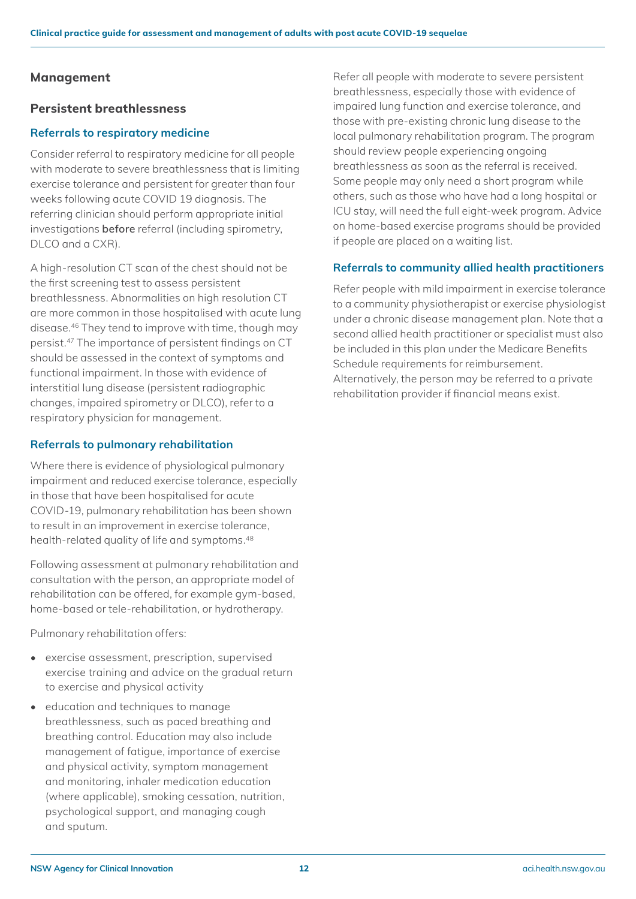#### **Management**

#### **Persistent breathlessness**

#### **Referrals to respiratory medicine**

Consider referral to respiratory medicine for all people with moderate to severe breathlessness that is limiting exercise tolerance and persistent for greater than four weeks following acute COVID 19 diagnosis. The referring clinician should perform appropriate initial investigations **before** referral (including spirometry, DLCO and a CXR).

A high-resolution CT scan of the chest should not be the first screening test to assess persistent breathlessness. Abnormalities on high resolution CT are more common in those hospitalised with acute lung disease.46 They tend to improve with time, though may persist.47 The importance of persistent findings on CT should be assessed in the context of symptoms and functional impairment. In those with evidence of interstitial lung disease (persistent radiographic changes, impaired spirometry or DLCO), refer to a respiratory physician for management.

#### **Referrals to pulmonary rehabilitation**

Where there is evidence of physiological pulmonary impairment and reduced exercise tolerance, especially in those that have been hospitalised for acute COVID-19, pulmonary rehabilitation has been shown to result in an improvement in exercise tolerance, health-related quality of life and symptoms.<sup>48</sup>

Following assessment at pulmonary rehabilitation and consultation with the person, an appropriate model of rehabilitation can be offered, for example gym-based, home-based or tele-rehabilitation, or hydrotherapy.

Pulmonary rehabilitation offers:

- exercise assessment, prescription, supervised exercise training and advice on the gradual return to exercise and physical activity
- education and techniques to manage breathlessness, such as paced breathing and breathing control. Education may also include management of fatigue, importance of exercise and physical activity, symptom management and monitoring, inhaler medication education (where applicable), smoking cessation, nutrition, psychological support, and managing cough and sputum.

Refer all people with moderate to severe persistent breathlessness, especially those with evidence of impaired lung function and exercise tolerance, and those with pre-existing chronic lung disease to the local pulmonary rehabilitation program. The program should review people experiencing ongoing breathlessness as soon as the referral is received. Some people may only need a short program while others, such as those who have had a long hospital or ICU stay, will need the full eight-week program. Advice on home-based exercise programs should be provided if people are placed on a waiting list.

#### **Referrals to community allied health practitioners**

Refer people with mild impairment in exercise tolerance to a community physiotherapist or exercise physiologist under a chronic disease management plan. Note that a second allied health practitioner or specialist must also be included in this plan under the Medicare Benefits Schedule requirements for reimbursement. Alternatively, the person may be referred to a private rehabilitation provider if financial means exist.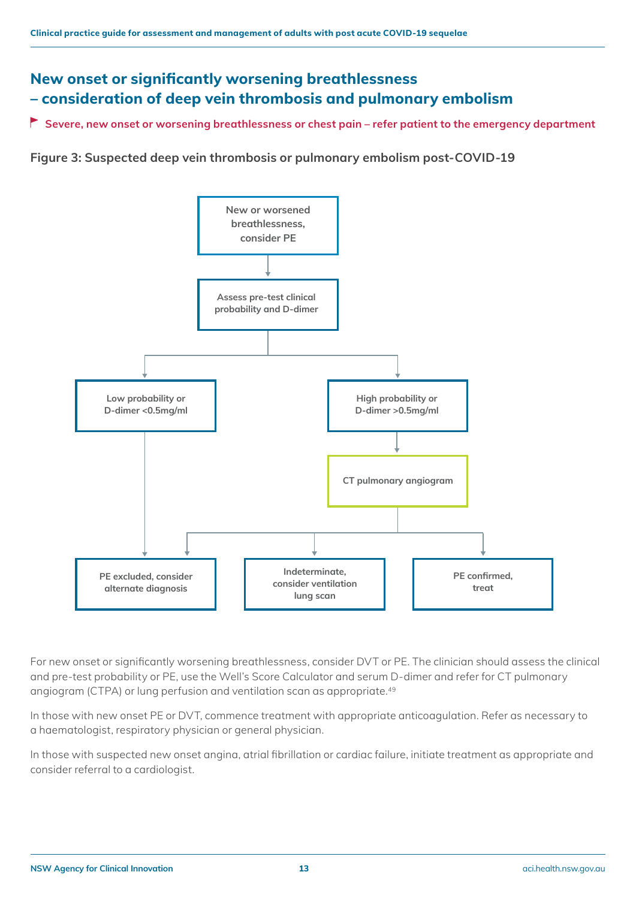### **New onset or significantly worsening breathlessness – consideration of deep vein thrombosis and pulmonary embolism**

**Severe, new onset or worsening breathlessness or chest pain – refer patient to the emergency department**

**Figure 3: Suspected deep vein thrombosis or pulmonary embolism post-COVID-19**



For new onset or significantly worsening breathlessness, consider DVT or PE. The clinician should assess the clinical and pre-test probability or PE, use the Well's Score Calculator and serum D-dimer and refer for CT pulmonary angiogram (CTPA) or lung perfusion and ventilation scan as appropriate.49

In those with new onset PE or DVT, commence treatment with appropriate anticoagulation. Refer as necessary to a haematologist, respiratory physician or general physician.

In those with suspected new onset angina, atrial fibrillation or cardiac failure, initiate treatment as appropriate and consider referral to a cardiologist.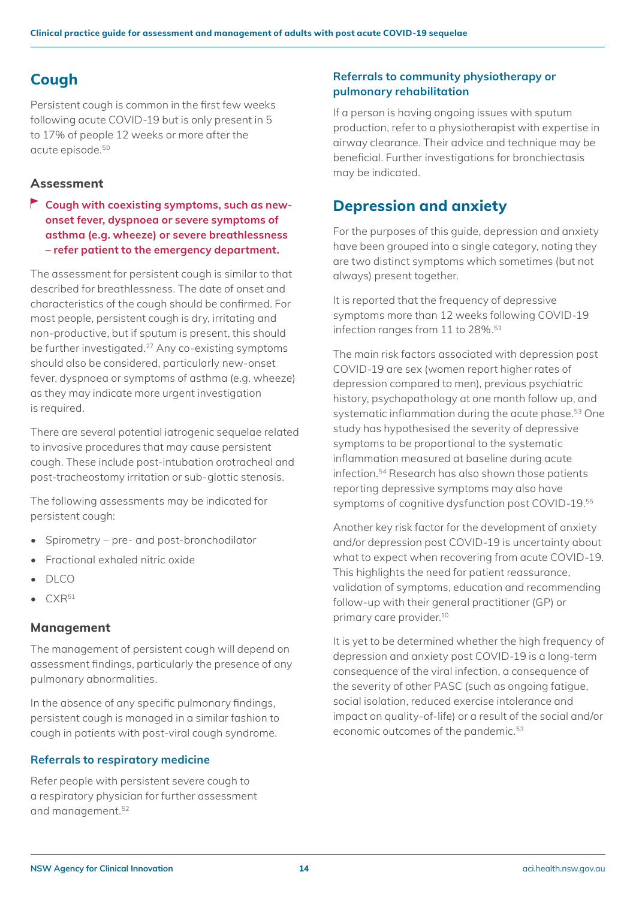### <span id="page-13-0"></span>**Cough**

Persistent cough is common in the first few weeks following acute COVID-19 but is only present in 5 to 17% of people 12 weeks or more after the acute episode.50

#### **Assessment**

**Cough with coexisting symptoms, such as newonset fever, dyspnoea or severe symptoms of asthma (e.g. wheeze) or severe breathlessness – refer patient to the emergency department.**

The assessment for persistent cough is similar to that described for breathlessness. The date of onset and characteristics of the cough should be confirmed. For most people, persistent cough is dry, irritating and non-productive, but if sputum is present, this should be further investigated.27 Any co-existing symptoms should also be considered, particularly new-onset fever, dyspnoea or symptoms of asthma (e.g. wheeze) as they may indicate more urgent investigation is required.

There are several potential iatrogenic sequelae related to invasive procedures that may cause persistent cough. These include post-intubation orotracheal and post-tracheostomy irritation or sub-glottic stenosis.

The following assessments may be indicated for persistent cough:

- Spirometry pre- and post-bronchodilator
- Fractional exhaled nitric oxide
- DLCO
- $CXR<sup>51</sup>$

#### **Management**

The management of persistent cough will depend on assessment findings, particularly the presence of any pulmonary abnormalities.

In the absence of any specific pulmonary findings, persistent cough is managed in a similar fashion to cough in patients with post-viral cough syndrome.

#### **Referrals to respiratory medicine**

Refer people with persistent severe cough to a respiratory physician for further assessment and management.52

#### **Referrals to community physiotherapy or pulmonary rehabilitation**

If a person is having ongoing issues with sputum production, refer to a physiotherapist with expertise in airway clearance. Their advice and technique may be beneficial. Further investigations for bronchiectasis may be indicated.

### <span id="page-13-1"></span>**Depression and anxiety**

For the purposes of this guide, depression and anxiety have been grouped into a single category, noting they are two distinct symptoms which sometimes (but not always) present together.

It is reported that the frequency of depressive symptoms more than 12 weeks following COVID-19 infection ranges from 11 to 28%.<sup>53</sup>

The main risk factors associated with depression post COVID-19 are sex (women report higher rates of depression compared to men), previous psychiatric history, psychopathology at one month follow up, and systematic inflammation during the acute phase.53 One study has hypothesised the severity of depressive symptoms to be proportional to the systematic inflammation measured at baseline during acute infection.54 Research has also shown those patients reporting depressive symptoms may also have symptoms of cognitive dysfunction post COVID-19.55

Another key risk factor for the development of anxiety and/or depression post COVID-19 is uncertainty about what to expect when recovering from acute COVID-19. This highlights the need for patient reassurance, validation of symptoms, education and recommending follow-up with their general practitioner (GP) or primary care provider.10

It is yet to be determined whether the high frequency of depression and anxiety post COVID-19 is a long-term consequence of the viral infection, a consequence of the severity of other PASC (such as ongoing fatigue, social isolation, reduced exercise intolerance and impact on quality-of-life) or a result of the social and/or economic outcomes of the pandemic.<sup>53</sup>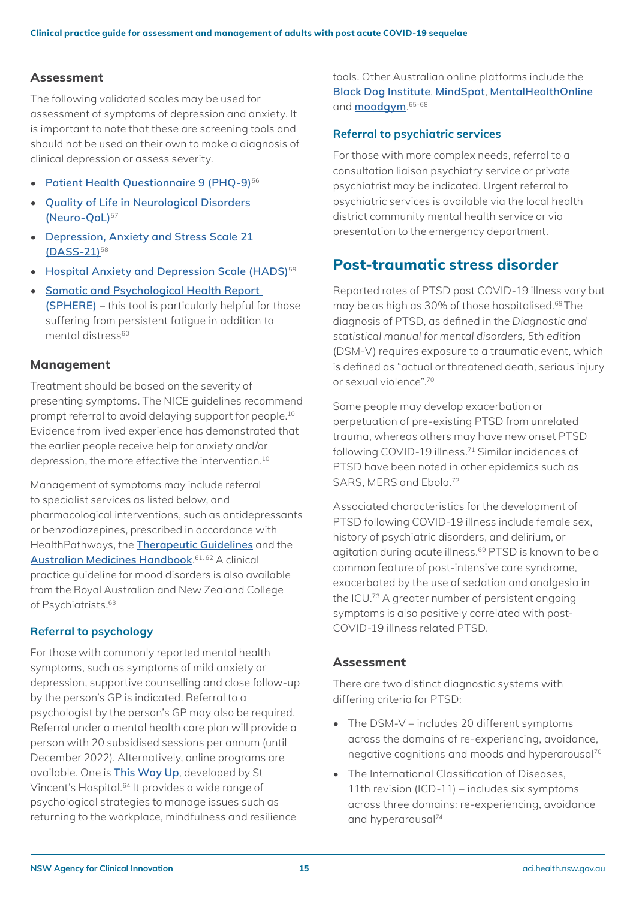#### **Assessment**

The following validated scales may be used for assessment of symptoms of depression and anxiety. It is important to note that these are screening tools and should not be used on their own to make a diagnosis of clinical depression or assess severity.

- **[Patient Health Questionnaire 9 \(PHQ-9\)](https://www.mdcalc.com/phq-9-patient-health-questionnaire-9)**<sup>56</sup>
- **[Quality of Life in Neurological Disorders](https://www.sralab.org/rehabilitation-measures/neuro-qol) [\(Neuro-QoL\)](https://www.sralab.org/rehabilitation-measures/neuro-qol)**<sup>57</sup>
- **[Depression, Anxiety and Stress Scale 21](https://aci.health.nsw.gov.au/__data/assets/pdf_file/0008/632843/Depression-Anxiety-Stress-Scale-21.pdf)  [\(DASS-21\)](https://aci.health.nsw.gov.au/__data/assets/pdf_file/0008/632843/Depression-Anxiety-Stress-Scale-21.pdf)**<sup>58</sup>
- **[Hospital Anxiety and Depression Scale \(HADS\)](https://www.svri.org/sites/default/files/attachments/2016-01-13/HADS.pdf)**<sup>59</sup>
- **[Somatic and Psychological Health Report](https://bmcpsychiatry.biomedcentral.com/articles/10.1186/s12888-017-1420-1/figures/1)  [\(SPHERE\)](https://bmcpsychiatry.biomedcentral.com/articles/10.1186/s12888-017-1420-1/figures/1)** – this tool is particularly helpful for those suffering from persistent fatigue in addition to mental distress<sup>60</sup>

#### **Management**

Treatment should be based on the severity of presenting symptoms. The NICE guidelines recommend prompt referral to avoid delaying support for people.10 Evidence from lived experience has demonstrated that the earlier people receive help for anxiety and/or depression, the more effective the intervention.10

Management of symptoms may include referral to specialist services as listed below, and pharmacological interventions, such as antidepressants or benzodiazepines, prescribed in accordance with HealthPathways, the **[Therapeutic Guidelines](https://www.tg.org.au/)** and the **[Australian Medicines Handbook](https://amhonline.amh.net.au/auth)**. 61, 62 A clinical practice guideline for mood disorders is also available from the Royal Australian and New Zealand College of Psychiatrists.<sup>63</sup>

#### **Referral to psychology**

For those with commonly reported mental health symptoms, such as symptoms of mild anxiety or depression, supportive counselling and close follow-up by the person's GP is indicated. Referral to a psychologist by the person's GP may also be required. Referral under a mental health care plan will provide a person with 20 subsidised sessions per annum (until December 2022). Alternatively, online programs are available. One is **[This Way Up](https://thiswayup.org.au/)**, developed by St Vincent's Hospital.<sup>64</sup> It provides a wide range of psychological strategies to manage issues such as returning to the workplace, mindfulness and resilience

tools. Other Australian online platforms include the **[Black Dog Institute](https://www.blackdoginstitute.org.au/resources-support/coronavirus-resources-for-anxiety-stress/?utm_source=Homepage&utm_medium=QuickLink&utm_campaign=COVID+Resources.)**, **[MindSpot](https://www.mindspot.org.au/)**, **[MentalHealthOnline](https://www.mentalhealthonline.org.au/Default.aspx)** and **[moodgym](https://moodgym.com.au/)**. 65-68

#### **Referral to psychiatric services**

For those with more complex needs, referral to a consultation liaison psychiatry service or private psychiatrist may be indicated. Urgent referral to psychiatric services is available via the local health district community mental health service or via presentation to the emergency department.

### <span id="page-14-0"></span>**Post-traumatic stress disorder**

Reported rates of PTSD post COVID-19 illness vary but may be as high as 30% of those hospitalised.69 The diagnosis of PTSD, as defined in the *Diagnostic and statistical manual for mental disorders, 5th edition* (DSM-V) requires exposure to a traumatic event, which is defined as "actual or threatened death, serious injury or sexual violence".<sup>70</sup>

Some people may develop exacerbation or perpetuation of pre-existing PTSD from unrelated trauma, whereas others may have new onset PTSD following COVID-19 illness.71 Similar incidences of PTSD have been noted in other epidemics such as SARS, MERS and Ebola.<sup>72</sup>

Associated characteristics for the development of PTSD following COVID-19 illness include female sex, history of psychiatric disorders, and delirium, or agitation during acute illness.<sup>69</sup> PTSD is known to be a common feature of post-intensive care syndrome, exacerbated by the use of sedation and analgesia in the ICU.73 A greater number of persistent ongoing symptoms is also positively correlated with post-COVID-19 illness related PTSD.

#### **Assessment**

There are two distinct diagnostic systems with differing criteria for PTSD:

- The DSM-V includes 20 different symptoms across the domains of re-experiencing, avoidance, negative cognitions and moods and hyperarousal<sup>70</sup>
- The International Classification of Diseases, 11th revision (ICD-11) – includes six symptoms across three domains: re-experiencing, avoidance and hyperarousal<sup>74</sup>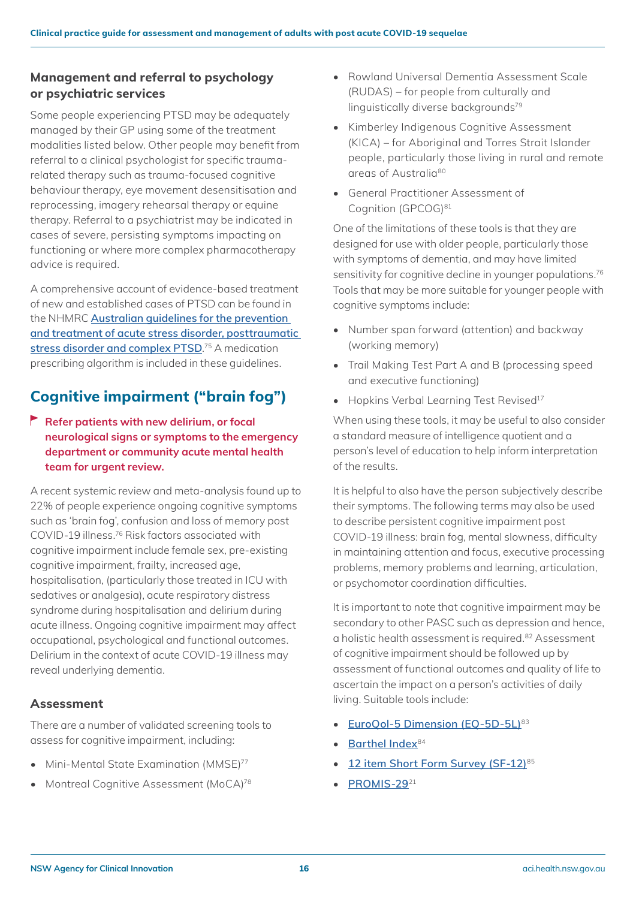#### **Management and referral to psychology or psychiatric services**

Some people experiencing PTSD may be adequately managed by their GP using some of the treatment modalities listed below. Other people may benefit from referral to a clinical psychologist for specific traumarelated therapy such as trauma-focused cognitive behaviour therapy, eye movement desensitisation and reprocessing, imagery rehearsal therapy or equine therapy. Referral to a psychiatrist may be indicated in cases of severe, persisting symptoms impacting on functioning or where more complex pharmacotherapy advice is required.

A comprehensive account of evidence-based treatment of new and established cases of PTSD can be found in the NHMRC **[Australian guidelines for the prevention](https://www.phoenixaustralia.org/australian-guidelines-for-ptsd)  [and treatment of acute stress disorder, posttraumatic](https://www.phoenixaustralia.org/australian-guidelines-for-ptsd)  [stress disorder and complex PTSD](https://www.phoenixaustralia.org/australian-guidelines-for-ptsd)**. 75 A medication prescribing algorithm is included in these guidelines.

### **Cognitive impairment ("brain fog")**

**Refer patients with new delirium, or focal neurological signs or symptoms to the emergency department or community acute mental health team for urgent review.** 

A recent systemic review and meta-analysis found up to 22% of people experience ongoing cognitive symptoms such as 'brain fog', confusion and loss of memory post COVID-19 illness.76 Risk factors associated with cognitive impairment include female sex, pre-existing cognitive impairment, frailty, increased age, hospitalisation, (particularly those treated in ICU with sedatives or analgesia), acute respiratory distress syndrome during hospitalisation and delirium during acute illness. Ongoing cognitive impairment may affect occupational, psychological and functional outcomes. Delirium in the context of acute COVID-19 illness may reveal underlying dementia.

#### **Assessment**

There are a number of validated screening tools to assess for cognitive impairment, including:

- Mini-Mental State Examination (MMSE)<sup>77</sup>
- Montreal Cognitive Assessment (MoCA)<sup>78</sup>
- Rowland Universal Dementia Assessment Scale (RUDAS) – for people from culturally and linguistically diverse backgrounds<sup>79</sup>
- Kimberley Indigenous Cognitive Assessment (KICA) – for Aboriginal and Torres Strait Islander people, particularly those living in rural and remote areas of Australia80
- General Practitioner Assessment of Cognition (GPCOG)<sup>81</sup>

One of the limitations of these tools is that they are designed for use with older people, particularly those with symptoms of dementia, and may have limited sensitivity for cognitive decline in younger populations.<sup>76</sup> Tools that may be more suitable for younger people with cognitive symptoms include:

- Number span forward (attention) and backway (working memory)
- Trail Making Test Part A and B (processing speed and executive functioning)
- Hopkins Verbal Learning Test Revised<sup>17</sup>

When using these tools, it may be useful to also consider a standard measure of intelligence quotient and a person's level of education to help inform interpretation of the results.

It is helpful to also have the person subjectively describe their symptoms. The following terms may also be used to describe persistent cognitive impairment post COVID-19 illness: brain fog, mental slowness, difficulty in maintaining attention and focus, executive processing problems, memory problems and learning, articulation, or psychomotor coordination difficulties.

It is important to note that cognitive impairment may be secondary to other PASC such as depression and hence, a holistic health assessment is required.82 Assessment of cognitive impairment should be followed up by assessment of functional outcomes and quality of life to ascertain the impact on a person's activities of daily living. Suitable tools include:

- **[EuroQol-5 Dimension \(EQ-5D-5L\)](https://aci.health.nsw.gov.au/__data/assets/pdf_file/0003/632847/EuroQol-5-Dimension.pdf)**<sup>83</sup>
- **[Barthel Index](https://www.sralab.org/sites/default/files/2017-07/barthel.pdf)**<sup>84</sup>
- **[12 item Short Form Survey \(SF-12\)](https://orthotoolkit.com/sf-12/)**<sup>85</sup>
- **[PROMIS-29](https://aci.health.nsw.gov.au/__data/assets/pdf_file/0006/632859/Patient-Reported-Outcome-Measures-Information-System-PROMIS-29-Profile.pdf)**<sup>21</sup>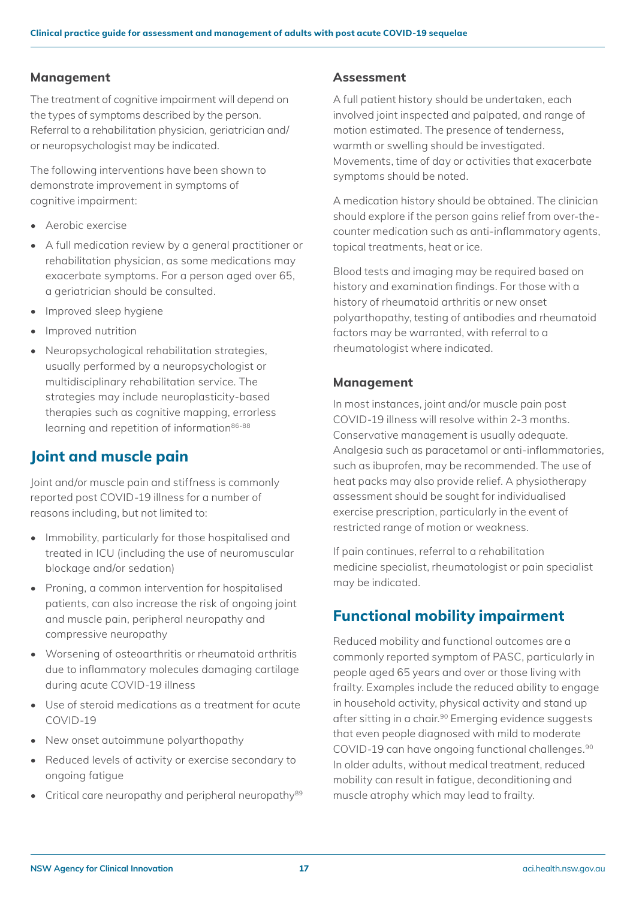#### **Management**

The treatment of cognitive impairment will depend on the types of symptoms described by the person. Referral to a rehabilitation physician, geriatrician and/ or neuropsychologist may be indicated.

The following interventions have been shown to demonstrate improvement in symptoms of cognitive impairment:

- Aerobic exercise
- A full medication review by a general practitioner or rehabilitation physician, as some medications may exacerbate symptoms. For a person aged over 65, a geriatrician should be consulted.
- Improved sleep hygiene
- Improved nutrition
- Neuropsychological rehabilitation strategies, usually performed by a neuropsychologist or multidisciplinary rehabilitation service. The strategies may include neuroplasticity-based therapies such as cognitive mapping, errorless learning and repetition of information<sup>86-88</sup>

### <span id="page-16-1"></span>**Joint and muscle pain**

Joint and/or muscle pain and stiffness is commonly reported post COVID-19 illness for a number of reasons including, but not limited to:

- Immobility, particularly for those hospitalised and treated in ICU (including the use of neuromuscular blockage and/or sedation)
- Proning, a common intervention for hospitalised patients, can also increase the risk of ongoing joint and muscle pain, peripheral neuropathy and compressive neuropathy
- Worsening of osteoarthritis or rheumatoid arthritis due to inflammatory molecules damaging cartilage during acute COVID-19 illness
- Use of steroid medications as a treatment for acute COVID-19
- New onset autoimmune polyarthopathy
- Reduced levels of activity or exercise secondary to ongoing fatigue
- Critical care neuropathy and peripheral neuropathy<sup>89</sup>

#### **Assessment**

A full patient history should be undertaken, each involved joint inspected and palpated, and range of motion estimated. The presence of tenderness, warmth or swelling should be investigated. Movements, time of day or activities that exacerbate symptoms should be noted.

A medication history should be obtained. The clinician should explore if the person gains relief from over-thecounter medication such as anti-inflammatory agents, topical treatments, heat or ice.

Blood tests and imaging may be required based on history and examination findings. For those with a history of rheumatoid arthritis or new onset polyarthopathy, testing of antibodies and rheumatoid factors may be warranted, with referral to a rheumatologist where indicated.

#### **Management**

In most instances, joint and/or muscle pain post COVID-19 illness will resolve within 2-3 months. Conservative management is usually adequate. Analgesia such as paracetamol or anti-inflammatories, such as ibuprofen, may be recommended. The use of heat packs may also provide relief. A physiotherapy assessment should be sought for individualised exercise prescription, particularly in the event of restricted range of motion or weakness.

If pain continues, referral to a rehabilitation medicine specialist, rheumatologist or pain specialist may be indicated.

### <span id="page-16-0"></span>**Functional mobility impairment**

Reduced mobility and functional outcomes are a commonly reported symptom of PASC, particularly in people aged 65 years and over or those living with frailty. Examples include the reduced ability to engage in household activity, physical activity and stand up after sitting in a chair.<sup>90</sup> Emerging evidence suggests that even people diagnosed with mild to moderate COVID-19 can have ongoing functional challenges.90 In older adults, without medical treatment, reduced mobility can result in fatigue, deconditioning and muscle atrophy which may lead to frailty.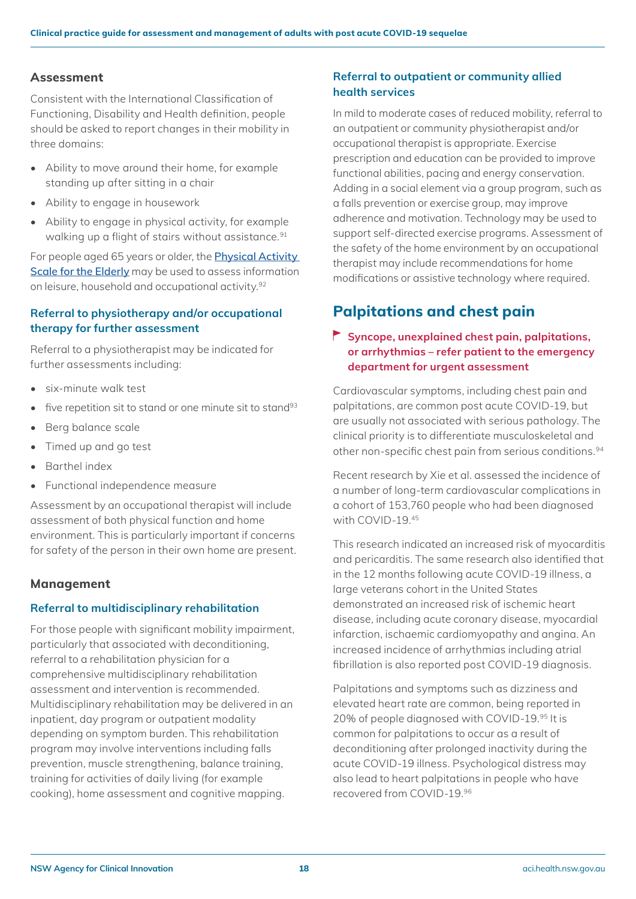#### **Assessment**

Consistent with the International Classification of Functioning, Disability and Health definition, people should be asked to report changes in their mobility in three domains:

- Ability to move around their home, for example standing up after sitting in a chair
- Ability to engage in housework
- Ability to engage in physical activity, for example walking up a flight of stairs without assistance.<sup>91</sup>

For people aged 65 years or older, the **[Physical Activity](https://www.physio-pedia.com/Physical_Activity_Scale_for_the_Elderly_(PASE))  [Scale for the Elderly](https://www.physio-pedia.com/Physical_Activity_Scale_for_the_Elderly_(PASE))** may be used to assess information on leisure, household and occupational activity.92

#### **Referral to physiotherapy and/or occupational therapy for further assessment**

Referral to a physiotherapist may be indicated for further assessments including:

- six-minute walk test
- five repetition sit to stand or one minute sit to stand<sup>93</sup>
- Berg balance scale
- Timed up and go test
- Barthel index
- Functional independence measure

Assessment by an occupational therapist will include assessment of both physical function and home environment. This is particularly important if concerns for safety of the person in their own home are present.

#### **Management**

#### **Referral to multidisciplinary rehabilitation**

For those people with significant mobility impairment, particularly that associated with deconditioning, referral to a rehabilitation physician for a comprehensive multidisciplinary rehabilitation assessment and intervention is recommended. Multidisciplinary rehabilitation may be delivered in an inpatient, day program or outpatient modality depending on symptom burden. This rehabilitation program may involve interventions including falls prevention, muscle strengthening, balance training, training for activities of daily living (for example cooking), home assessment and cognitive mapping.

#### **Referral to outpatient or community allied health services**

In mild to moderate cases of reduced mobility, referral to an outpatient or community physiotherapist and/or occupational therapist is appropriate. Exercise prescription and education can be provided to improve functional abilities, pacing and energy conservation. Adding in a social element via a group program, such as a falls prevention or exercise group, may improve adherence and motivation. Technology may be used to support self-directed exercise programs. Assessment of the safety of the home environment by an occupational therapist may include recommendations for home modifications or assistive technology where required.

### <span id="page-17-0"></span>**Palpitations and chest pain**

#### **Syncope, unexplained chest pain, palpitations, or arrhythmias – refer patient to the emergency department for urgent assessment**

Cardiovascular symptoms, including chest pain and palpitations, are common post acute COVID-19, but are usually not associated with serious pathology. The clinical priority is to differentiate musculoskeletal and other non-specific chest pain from serious conditions.<sup>94</sup>

Recent research by Xie et al. assessed the incidence of a number of long-term cardiovascular complications in a cohort of 153,760 people who had been diagnosed with COVID-19.45

This research indicated an increased risk of myocarditis and pericarditis. The same research also identified that in the 12 months following acute COVID-19 illness, a large veterans cohort in the United States demonstrated an increased risk of ischemic heart disease, including acute coronary disease, myocardial infarction, ischaemic cardiomyopathy and angina. An increased incidence of arrhythmias including atrial fibrillation is also reported post COVID-19 diagnosis.

Palpitations and symptoms such as dizziness and elevated heart rate are common, being reported in 20% of people diagnosed with COVID-19.95 It is common for palpitations to occur as a result of deconditioning after prolonged inactivity during the acute COVID-19 illness. Psychological distress may also lead to heart palpitations in people who have recovered from COVID-19.96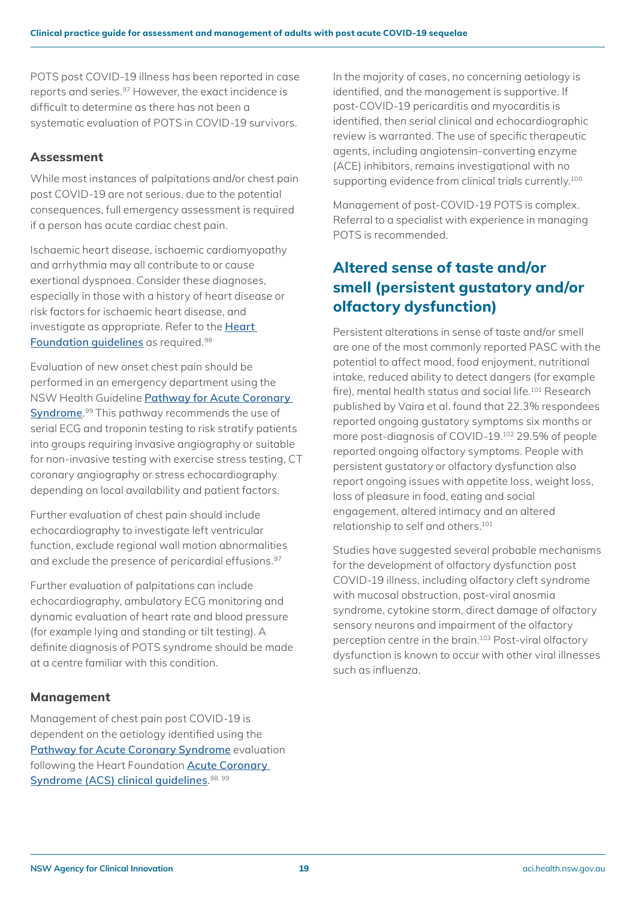POTS post COVID-19 illness has been reported in case reports and series.97 However, the exact incidence is difficult to determine as there has not been a systematic evaluation of POTS in COVID-19 survivors.

#### **Assessment**

While most instances of palpitations and/or chest pain post COVID-19 are not serious, due to the potential consequences, full emergency assessment is required if a person has acute cardiac chest pain.

Ischaemic heart disease, ischaemic cardiomyopathy and arrhythmia may all contribute to or cause exertional dyspnoea. Consider these diagnoses, especially in those with a history of heart disease or risk factors for ischaemic heart disease, and investigate as appropriate. Refer to the **[Heart](https://www.heartfoundation.org.au/health-professional-tools/Clinical-guidelines-position-statements)  [Foundation guidelines](https://www.heartfoundation.org.au/health-professional-tools/Clinical-guidelines-position-statements)** as required.98

Evaluation of new onset chest pain should be performed in an emergency department using the NSW Health Guideline **[Pathway for Acute Coronary](https://www1.health.nsw.gov.au/pds/ActivePDSDocuments/GL2019_014.pdf)  [Syndrome](https://www1.health.nsw.gov.au/pds/ActivePDSDocuments/GL2019_014.pdf)**. 99 This pathway recommends the use of serial ECG and troponin testing to risk stratify patients into groups requiring invasive angiography or suitable for non-invasive testing with exercise stress testing, CT coronary angiography or stress echocardiography depending on local availability and patient factors.

Further evaluation of chest pain should include echocardiography to investigate left ventricular function, exclude regional wall motion abnormalities and exclude the presence of pericardial effusions.<sup>97</sup>

Further evaluation of palpitations can include echocardiography, ambulatory ECG monitoring and dynamic evaluation of heart rate and blood pressure (for example lying and standing or tilt testing). A definite diagnosis of POTS syndrome should be made at a centre familiar with this condition.

#### **Management**

Management of chest pain post COVID-19 is dependent on the aetiology identified using the **[Pathway for Acute Coronary Syndrome](https://www1.health.nsw.gov.au/pds/ActivePDSDocuments/GL2019_014.pdf)** evaluation following the Heart Foundation **[Acute Coronary](https://www.heartfoundation.org.au/conditions/fp-acs-guidelines)  [Syndrome \(ACS\) clinical guidelines](https://www.heartfoundation.org.au/conditions/fp-acs-guidelines)**. 98, 99

In the majority of cases, no concerning aetiology is identified, and the management is supportive. If post-COVID-19 pericarditis and myocarditis is identified, then serial clinical and echocardiographic review is warranted. The use of specific therapeutic agents, including angiotensin-converting enzyme (ACE) inhibitors, remains investigational with no supporting evidence from clinical trials currently.<sup>100</sup>

Management of post-COVID-19 POTS is complex. Referral to a specialist with experience in managing POTS is recommended.

### <span id="page-18-0"></span>**Altered sense of taste and/or smell (persistent gustatory and/or olfactory dysfunction)**

Persistent alterations in sense of taste and/or smell are one of the most commonly reported PASC with the potential to affect mood, food enjoyment, nutritional intake, reduced ability to detect dangers (for example fire), mental health status and social life.101 Research published by Vaira et al. found that 22.3% respondees reported ongoing gustatory symptoms six months or more post-diagnosis of COVID-19.102 29.5% of people reported ongoing olfactory symptoms. People with persistent gustatory or olfactory dysfunction also report ongoing issues with appetite loss, weight loss, loss of pleasure in food, eating and social engagement, altered intimacy and an altered relationship to self and others.101

Studies have suggested several probable mechanisms for the development of olfactory dysfunction post COVID-19 illness, including olfactory cleft syndrome with mucosal obstruction, post-viral anosmia syndrome, cytokine storm, direct damage of olfactory sensory neurons and impairment of the olfactory perception centre in the brain.103 Post-viral olfactory dysfunction is known to occur with other viral illnesses such as influenza.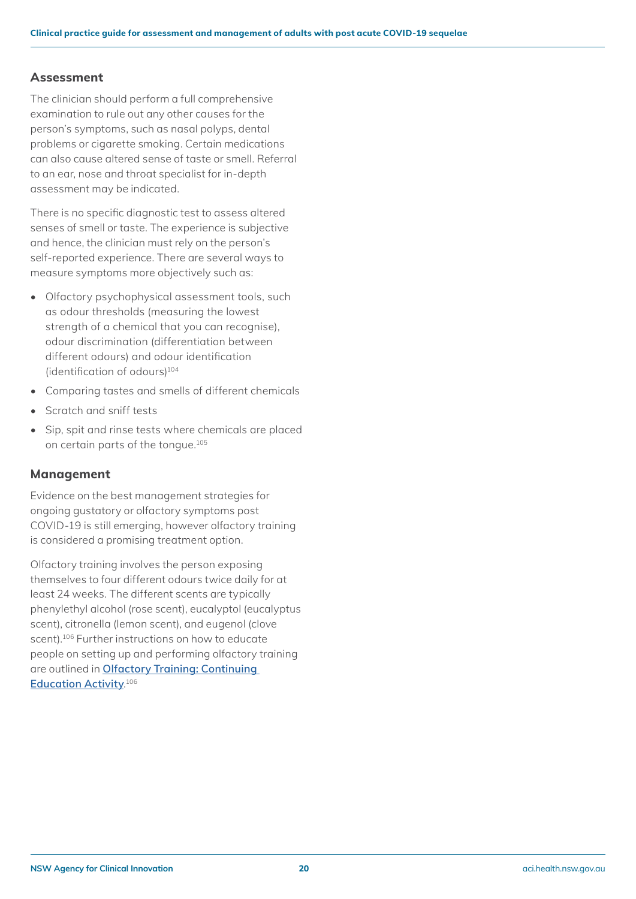#### **Assessment**

The clinician should perform a full comprehensive examination to rule out any other causes for the person's symptoms, such as nasal polyps, dental problems or cigarette smoking. Certain medications can also cause altered sense of taste or smell. Referral to an ear, nose and throat specialist for in-depth assessment may be indicated.

There is no specific diagnostic test to assess altered senses of smell or taste. The experience is subjective and hence, the clinician must rely on the person's self-reported experience. There are several ways to measure symptoms more objectively such as:

- Olfactory psychophysical assessment tools, such as odour thresholds (measuring the lowest strength of a chemical that you can recognise), odour discrimination (differentiation between different odours) and odour identification (identification of odours)<sup>104</sup>
- Comparing tastes and smells of different chemicals
- Scratch and sniff tests
- Sip, spit and rinse tests where chemicals are placed on certain parts of the tongue.105

#### **Management**

Evidence on the best management strategies for ongoing gustatory or olfactory symptoms post COVID-19 is still emerging, however olfactory training is considered a promising treatment option.

Olfactory training involves the person exposing themselves to four different odours twice daily for at least 24 weeks. The different scents are typically phenylethyl alcohol (rose scent), eucalyptol (eucalyptus scent), citronella (lemon scent), and eugenol (clove scent).<sup>106</sup> Further instructions on how to educate people on setting up and performing olfactory training are outlined in **[Olfactory Training: Continuing](https://www.ncbi.nlm.nih.gov/books/NBK567741/)  [Education Activity](https://www.ncbi.nlm.nih.gov/books/NBK567741/)**. 106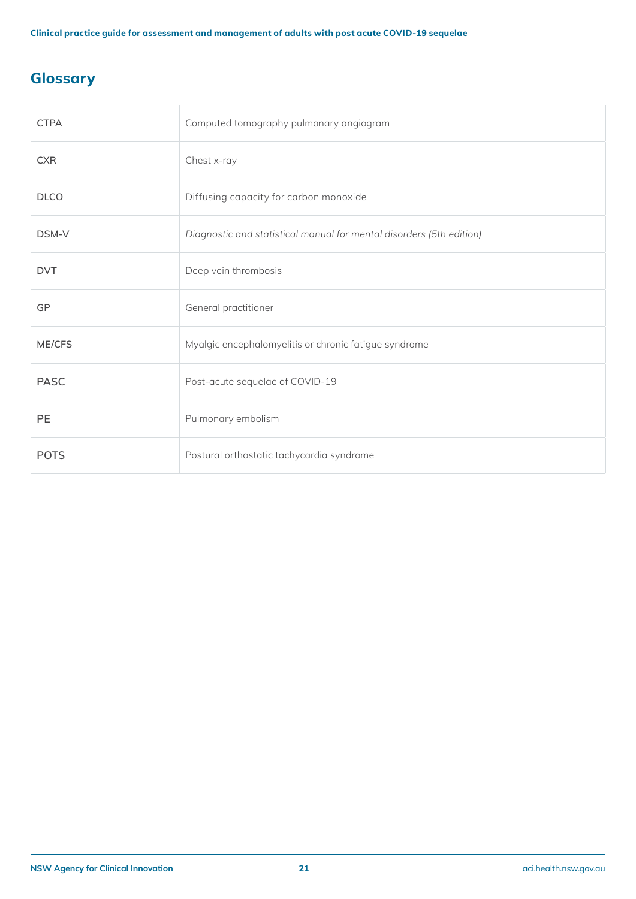## <span id="page-20-0"></span>**Glossary**

| <b>CTPA</b> | Computed tomography pulmonary angiogram                              |
|-------------|----------------------------------------------------------------------|
| <b>CXR</b>  | Chest x-ray                                                          |
| <b>DLCO</b> | Diffusing capacity for carbon monoxide                               |
| DSM-V       | Diagnostic and statistical manual for mental disorders (5th edition) |
| <b>DVT</b>  | Deep vein thrombosis                                                 |
| GP          | General practitioner                                                 |
| ME/CFS      | Myalgic encephalomyelitis or chronic fatigue syndrome                |
| <b>PASC</b> | Post-acute sequelae of COVID-19                                      |
| PE          | Pulmonary embolism                                                   |
| <b>POTS</b> | Postural orthostatic tachycardia syndrome                            |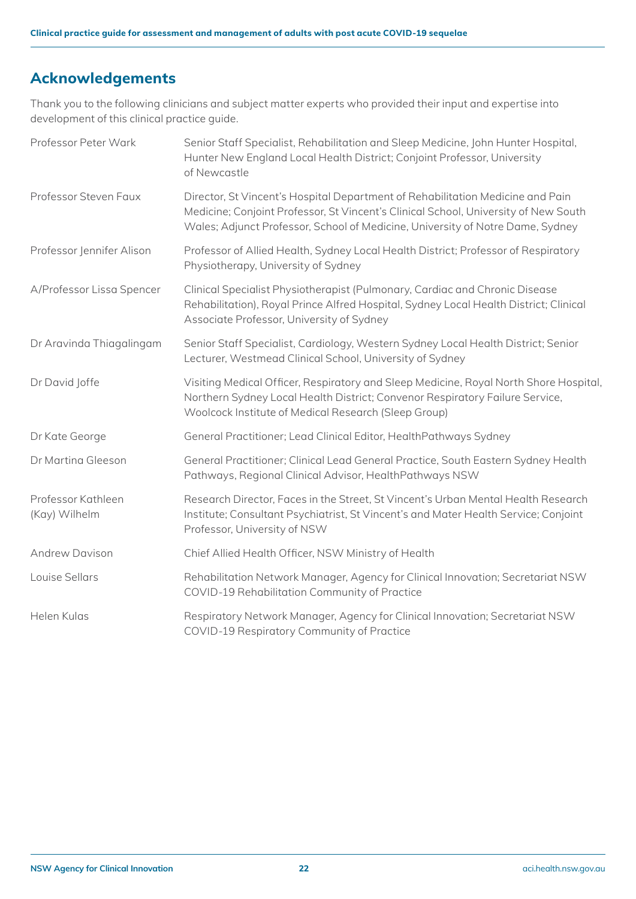### <span id="page-21-0"></span>**Acknowledgements**

Thank you to the following clinicians and subject matter experts who provided their input and expertise into development of this clinical practice guide.

| Professor Peter Wark                | Senior Staff Specialist, Rehabilitation and Sleep Medicine, John Hunter Hospital,<br>Hunter New England Local Health District; Conjoint Professor, University<br>of Newcastle                                                                           |
|-------------------------------------|---------------------------------------------------------------------------------------------------------------------------------------------------------------------------------------------------------------------------------------------------------|
| Professor Steven Faux               | Director, St Vincent's Hospital Department of Rehabilitation Medicine and Pain<br>Medicine; Conjoint Professor, St Vincent's Clinical School, University of New South<br>Wales; Adjunct Professor, School of Medicine, University of Notre Dame, Sydney |
| Professor Jennifer Alison           | Professor of Allied Health, Sydney Local Health District; Professor of Respiratory<br>Physiotherapy, University of Sydney                                                                                                                               |
| A/Professor Lissa Spencer           | Clinical Specialist Physiotherapist (Pulmonary, Cardiac and Chronic Disease<br>Rehabilitation), Royal Prince Alfred Hospital, Sydney Local Health District; Clinical<br>Associate Professor, University of Sydney                                       |
| Dr Aravinda Thiagalingam            | Senior Staff Specialist, Cardiology, Western Sydney Local Health District; Senior<br>Lecturer, Westmead Clinical School, University of Sydney                                                                                                           |
| Dr David Joffe                      | Visiting Medical Officer, Respiratory and Sleep Medicine, Royal North Shore Hospital,<br>Northern Sydney Local Health District; Convenor Respiratory Failure Service,<br>Woolcock Institute of Medical Research (Sleep Group)                           |
| Dr Kate George                      | General Practitioner; Lead Clinical Editor, HealthPathways Sydney                                                                                                                                                                                       |
| Dr Martina Gleeson                  | General Practitioner; Clinical Lead General Practice, South Eastern Sydney Health<br>Pathways, Regional Clinical Advisor, HealthPathways NSW                                                                                                            |
| Professor Kathleen<br>(Kay) Wilhelm | Research Director, Faces in the Street, St Vincent's Urban Mental Health Research<br>Institute; Consultant Psychiatrist, St Vincent's and Mater Health Service; Conjoint<br>Professor, University of NSW                                                |
| <b>Andrew Davison</b>               | Chief Allied Health Officer, NSW Ministry of Health                                                                                                                                                                                                     |
| Louise Sellars                      | Rehabilitation Network Manager, Agency for Clinical Innovation; Secretariat NSW<br>COVID-19 Rehabilitation Community of Practice                                                                                                                        |
| Helen Kulas                         | Respiratory Network Manager, Agency for Clinical Innovation; Secretariat NSW<br>COVID-19 Respiratory Community of Practice                                                                                                                              |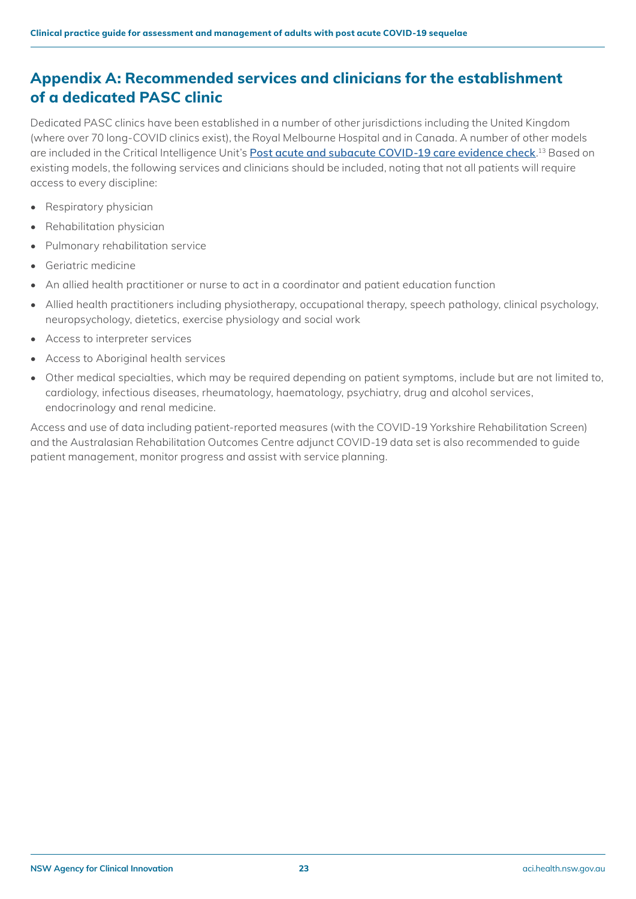### <span id="page-22-0"></span>**Appendix A: Recommended services and clinicians for the establishment of a dedicated PASC clinic**

Dedicated PASC clinics have been established in a number of other jurisdictions including the United Kingdom (where over 70 long-COVID clinics exist), the Royal Melbourne Hospital and in Canada. A number of other models are included in the Critical Intelligence Unit's **[Post acute and subacute COVID-19 care evidence check](https://aci.health.nsw.gov.au/__data/assets/pdf_file/0008/685097/Evidence-Check-Post-acute-and-subacute-COVID-19-care.pdf)**. 13 Based on existing models, the following services and clinicians should be included, noting that not all patients will require access to every discipline:

- Respiratory physician
- Rehabilitation physician
- Pulmonary rehabilitation service
- Geriatric medicine
- An allied health practitioner or nurse to act in a coordinator and patient education function
- Allied health practitioners including physiotherapy, occupational therapy, speech pathology, clinical psychology, neuropsychology, dietetics, exercise physiology and social work
- Access to interpreter services
- Access to Aboriginal health services
- Other medical specialties, which may be required depending on patient symptoms, include but are not limited to, cardiology, infectious diseases, rheumatology, haematology, psychiatry, drug and alcohol services, endocrinology and renal medicine.

Access and use of data including patient-reported measures (with the COVID-19 Yorkshire Rehabilitation Screen) and the Australasian Rehabilitation Outcomes Centre adjunct COVID-19 data set is also recommended to guide patient management, monitor progress and assist with service planning.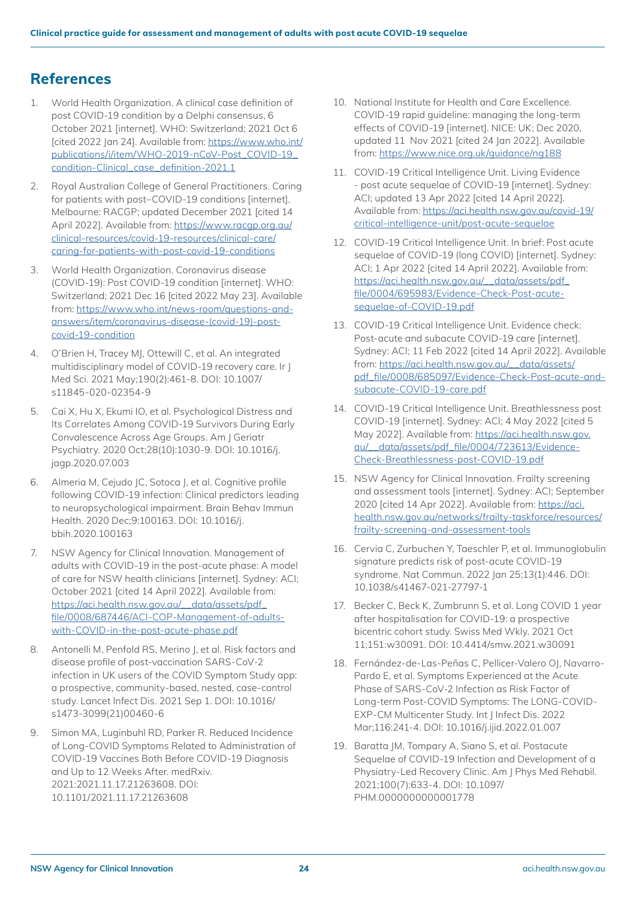### <span id="page-23-0"></span>**References**

- 1. World Health Organization. A clinical case definition of post COVID-19 condition by a Delphi consensus, 6 October 2021 [internet]. WHO: Switzerland; 2021 Oct 6 [cited 2022 Jan 24]. Available from: [https://www.who.int/](https://www.who.int/publications/i/item/WHO-2019-nCoV-Post_COVID-19_condition-Clinical_case_definition-2021.1) [publications/i/item/WHO-2019-nCoV-Post\\_COVID-19\\_](https://www.who.int/publications/i/item/WHO-2019-nCoV-Post_COVID-19_condition-Clinical_case_definition-2021.1) [condition-Clinical\\_case\\_definition-2021.1](https://www.who.int/publications/i/item/WHO-2019-nCoV-Post_COVID-19_condition-Clinical_case_definition-2021.1)
- 2. Royal Australian College of General Practitioners. Caring for patients with post–COVID-19 conditions [internet]. Melbourne: RACGP; updated December 2021 [cited 14 April 2022]. Available from: [https://www.racgp.org.au/](https://www.racgp.org.au/clinical-resources/covid-19-resources/clinical-care/caring-for-patients-with-post-covid-19-conditions) [clinical-resources/covid-19-resources/clinical-care/](https://www.racgp.org.au/clinical-resources/covid-19-resources/clinical-care/caring-for-patients-with-post-covid-19-conditions) [caring-for-patients-with-post-covid-19-conditions](https://www.racgp.org.au/clinical-resources/covid-19-resources/clinical-care/caring-for-patients-with-post-covid-19-conditions)
- 3. World Health Organization. Coronavirus disease (COVID-19): Post COVID-19 condition [internet]. WHO: Switzerland; 2021 Dec 16 [cited 2022 May 23]. Available from: [https://www.who.int/news-room/questions-and](https://www.who.int/news-room/questions-and-answers/item/coronavirus-disease-(covid-19)-post-covid-19-condition)[answers/item/coronavirus-disease-\(covid-19\)-post](https://www.who.int/news-room/questions-and-answers/item/coronavirus-disease-(covid-19)-post-covid-19-condition)[covid-19-condition](https://www.who.int/news-room/questions-and-answers/item/coronavirus-disease-(covid-19)-post-covid-19-condition)
- 4. O'Brien H, Tracey MJ, Ottewill C, et al. An integrated multidisciplinary model of COVID-19 recovery care. Ir J Med Sci. 2021 May;190(2):461-8. DOI: 10.1007/ s11845-020-02354-9
- 5. Cai X, Hu X, Ekumi IO, et al. Psychological Distress and Its Correlates Among COVID-19 Survivors During Early Convalescence Across Age Groups. Am J Geriatr Psychiatry. 2020 Oct;28(10):1030-9. DOI: 10.1016/j. jagp.2020.07.003
- 6. Almeria M, Cejudo JC, Sotoca J, et al. Cognitive profile following COVID-19 infection: Clinical predictors leading to neuropsychological impairment. Brain Behav Immun Health. 2020 Dec;9:100163. DOI: 10.1016/j. bbih.2020.100163
- 7. NSW Agency for Clinical Innovation. Management of adults with COVID-19 in the post-acute phase: A model of care for NSW health clinicians [internet]. Sydney: ACI; October 2021 [cited 14 April 2022]. Available from: [https://aci.health.nsw.gov.au/\\_\\_data/assets/pdf\\_](https://aci.health.nsw.gov.au/__data/assets/pdf_file/0008/687446/ACI-COP-Management-of-adults-with-COVID-in-the-post-acute-phase.pdf) [file/0008/687446/ACI-COP-Management-of-adults](https://aci.health.nsw.gov.au/__data/assets/pdf_file/0008/687446/ACI-COP-Management-of-adults-with-COVID-in-the-post-acute-phase.pdf)[with-COVID-in-the-post-acute-phase.pdf](https://aci.health.nsw.gov.au/__data/assets/pdf_file/0008/687446/ACI-COP-Management-of-adults-with-COVID-in-the-post-acute-phase.pdf)
- 8. Antonelli M, Penfold RS, Merino J, et al. Risk factors and disease profile of post-vaccination SARS-CoV-2 infection in UK users of the COVID Symptom Study app: a prospective, community-based, nested, case-control study. Lancet Infect Dis. 2021 Sep 1. DOI: 10.1016/ s1473-3099(21)00460-6
- 9. Simon MA, Luginbuhl RD, Parker R. Reduced Incidence of Long-COVID Symptoms Related to Administration of COVID-19 Vaccines Both Before COVID-19 Diagnosis and Up to 12 Weeks After. medRxiv. 2021:2021.11.17.21263608. DOI: 10.1101/2021.11.17.21263608
- 10. National Institute for Health and Care Excellence. COVID-19 rapid guideline: managing the long-term effects of COVID-19 [internet]. NICE: UK; Dec 2020, updated 11 Nov 2021 [cited 24 Jan 2022]. Available from:<https://www.nice.org.uk/guidance/ng188>
- 11. COVID-19 Critical Intelligence Unit. Living Evidence - post acute sequelae of COVID-19 [internet]. Sydney: ACI; updated 13 Apr 2022 [cited 14 April 2022]. Available from: [https://aci.health.nsw.gov.au/covid-19/](https://aci.health.nsw.gov.au/covid-19/critical-intelligence-unit/post-acute-sequelae) [critical-intelligence-unit/post-acute-sequelae](https://aci.health.nsw.gov.au/covid-19/critical-intelligence-unit/post-acute-sequelae)
- 12. COVID-19 Critical Intelligence Unit. In brief: Post acute sequelae of COVID-19 (long COVID) [internet]. Sydney: ACI; 1 Apr 2022 [cited 14 April 2022]. Available from: [https://aci.health.nsw.gov.au/\\_\\_data/assets/pdf\\_](https://aci.health.nsw.gov.au/__data/assets/pdf_file/0004/695983/Evidence-Check-Post-acute-sequelae-of-COVID-19.pdf) [file/0004/695983/Evidence-Check-Post-acute](https://aci.health.nsw.gov.au/__data/assets/pdf_file/0004/695983/Evidence-Check-Post-acute-sequelae-of-COVID-19.pdf)[sequelae-of-COVID-19.pdf](https://aci.health.nsw.gov.au/__data/assets/pdf_file/0004/695983/Evidence-Check-Post-acute-sequelae-of-COVID-19.pdf)
- 13. COVID-19 Critical Intelligence Unit. Evidence check: Post-acute and subacute COVID-19 care [internet]. Sydney: ACI; 11 Feb 2022 [cited 14 April 2022]. Available from: [https://aci.health.nsw.gov.au/\\_\\_data/assets/](https://aci.health.nsw.gov.au/__data/assets/pdf_file/0008/685097/Evidence-Check-Post-acute-and-subacute-COVID-19-care.pdf) [pdf\\_file/0008/685097/Evidence-Check-Post-acute-and](https://aci.health.nsw.gov.au/__data/assets/pdf_file/0008/685097/Evidence-Check-Post-acute-and-subacute-COVID-19-care.pdf)[subacute-COVID-19-care.pdf](https://aci.health.nsw.gov.au/__data/assets/pdf_file/0008/685097/Evidence-Check-Post-acute-and-subacute-COVID-19-care.pdf)
- 14. COVID-19 Critical Intelligence Unit. Breathlessness post COVID-19 [internet]. Sydney: ACI; 4 May 2022 [cited 5 May 2022]. Available from: [https://aci.health.nsw.gov.](https://aci.health.nsw.gov.au/__data/assets/pdf_file/0004/723613/Evidence-Check-Breathlessness-post-COVID-19.pdf) [au/\\_\\_data/assets/pdf\\_file/0004/723613/Evidence-](https://aci.health.nsw.gov.au/__data/assets/pdf_file/0004/723613/Evidence-Check-Breathlessness-post-COVID-19.pdf)[Check-Breathlessness-post-COVID-19.pdf](https://aci.health.nsw.gov.au/__data/assets/pdf_file/0004/723613/Evidence-Check-Breathlessness-post-COVID-19.pdf)
- 15. NSW Agency for Clinical Innovation. Frailty screening and assessment tools [internet]. Sydney: ACI; September 2020 [cited 14 Apr 2022]. Available from: [https://aci.](https://aci.health.nsw.gov.au/networks/frailty-taskforce/resources/frailty-screening-and-assessment-tools) [health.nsw.gov.au/networks/frailty-taskforce/resources/](https://aci.health.nsw.gov.au/networks/frailty-taskforce/resources/frailty-screening-and-assessment-tools) [frailty-screening-and-assessment-tools](https://aci.health.nsw.gov.au/networks/frailty-taskforce/resources/frailty-screening-and-assessment-tools)
- 16. Cervia C, Zurbuchen Y, Taeschler P, et al. Immunoglobulin signature predicts risk of post-acute COVID-19 syndrome. Nat Commun. 2022 Jan 25;13(1):446. DOI: 10.1038/s41467-021-27797-1
- 17. Becker C, Beck K, Zumbrunn S, et al. Long COVID 1 year after hospitalisation for COVID-19: a prospective bicentric cohort study. Swiss Med Wkly. 2021 Oct 11;151:w30091. DOI: 10.4414/smw.2021.w30091
- 18. Fernández-de-Las-Peñas C, Pellicer-Valero OJ, Navarro-Pardo E, et al. Symptoms Experienced at the Acute Phase of SARS-CoV-2 Infection as Risk Factor of Long-term Post-COVID Symptoms: The LONG-COVID-EXP-CM Multicenter Study. Int J Infect Dis. 2022 Mar;116:241-4. DOI: 10.1016/j.ijid.2022.01.007
- 19. Baratta JM, Tompary A, Siano S, et al. Postacute Sequelae of COVID-19 Infection and Development of a Physiatry-Led Recovery Clinic. Am J Phys Med Rehabil. 2021;100(7):633-4. DOI: 10.1097/ PHM.0000000000001778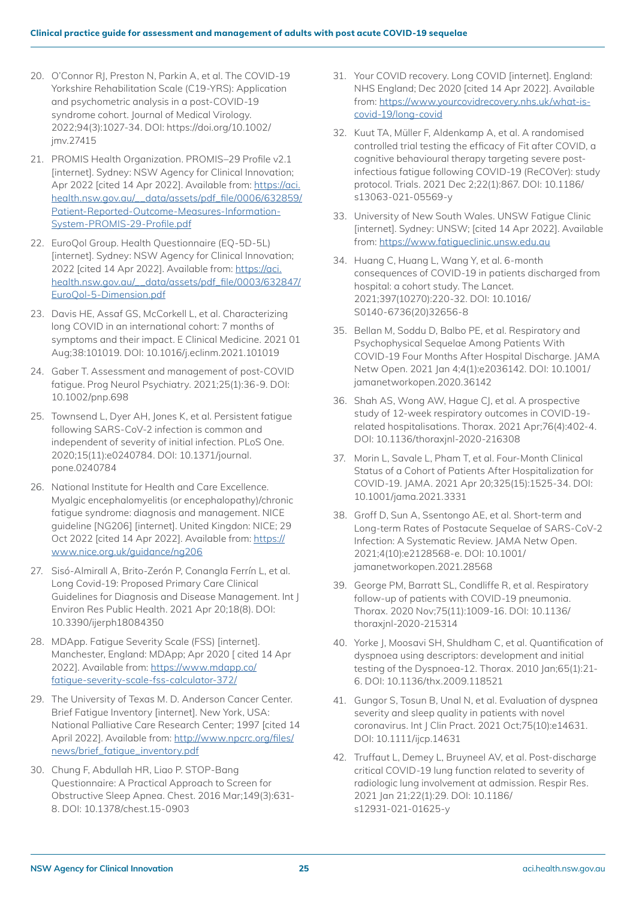- 20. O'Connor RJ, Preston N, Parkin A, et al. The COVID-19 Yorkshire Rehabilitation Scale (C19-YRS): Application and psychometric analysis in a post-COVID-19 syndrome cohort. Journal of Medical Virology. 2022;94(3):1027-34. DOI: https://doi.org/10.1002/ jmv.27415
- 21. PROMIS Health Organization. PROMIS–29 Profile v2.1 [internet]. Sydney: NSW Agency for Clinical Innovation; Apr 2022 [cited 14 Apr 2022]. Available from: [https://aci.](https://aci.health.nsw.gov.au/__data/assets/pdf_file/0006/632859/Patient-Reported-Outcome-Measures-Information-System-PROMIS-29-Profile.pdf) [health.nsw.gov.au/\\_\\_data/assets/pdf\\_file/0006/632859/](https://aci.health.nsw.gov.au/__data/assets/pdf_file/0006/632859/Patient-Reported-Outcome-Measures-Information-System-PROMIS-29-Profile.pdf) [Patient-Reported-Outcome-Measures-Information-](https://aci.health.nsw.gov.au/__data/assets/pdf_file/0006/632859/Patient-Reported-Outcome-Measures-Information-System-PROMIS-29-Profile.pdf)[System-PROMIS-29-Profile.pdf](https://aci.health.nsw.gov.au/__data/assets/pdf_file/0006/632859/Patient-Reported-Outcome-Measures-Information-System-PROMIS-29-Profile.pdf)
- 22. EuroQol Group. Health Questionnaire (EQ-5D-5L) [internet]. Sydney: NSW Agency for Clinical Innovation; 2022 [cited 14 Apr 2022]. Available from: [https://aci.](https://aci.health.nsw.gov.au/__data/assets/pdf_file/0003/632847/EuroQol-5-Dimension.pdf) [health.nsw.gov.au/\\_\\_data/assets/pdf\\_file/0003/632847/](https://aci.health.nsw.gov.au/__data/assets/pdf_file/0003/632847/EuroQol-5-Dimension.pdf) [EuroQol-5-Dimension.pdf](https://aci.health.nsw.gov.au/__data/assets/pdf_file/0003/632847/EuroQol-5-Dimension.pdf)
- 23. Davis HE, Assaf GS, McCorkell L, et al. Characterizing long COVID in an international cohort: 7 months of symptoms and their impact. E Clinical Medicine. 2021 01 Aug;38:101019. DOI: 10.1016/j.eclinm.2021.101019
- 24. Gaber T. Assessment and management of post-COVID fatigue. Prog Neurol Psychiatry. 2021;25(1):36-9. DOI: 10.1002/pnp.698
- 25. Townsend L, Dyer AH, Jones K, et al. Persistent fatigue following SARS-CoV-2 infection is common and independent of severity of initial infection. PLoS One. 2020;15(11):e0240784. DOI: 10.1371/journal. pone.0240784
- 26. National Institute for Health and Care Excellence. Myalgic encephalomyelitis (or encephalopathy)/chronic fatigue syndrome: diagnosis and management. NICE guideline [NG206] [internet]. United Kingdon: NICE; 29 Oct 2022 [cited 14 Apr 2022]. Available from: [https://](https://www.nice.org.uk/guidance/ng206) [www.nice.org.uk/guidance/ng206](https://www.nice.org.uk/guidance/ng206)
- 27. Sisó-Almirall A, Brito-Zerón P, Conangla Ferrín L, et al. Long Covid-19: Proposed Primary Care Clinical Guidelines for Diagnosis and Disease Management. Int J Environ Res Public Health. 2021 Apr 20;18(8). DOI: 10.3390/ijerph18084350
- 28. MDApp. Fatigue Severity Scale (FSS) [internet]. Manchester, England: MDApp; Apr 2020 [ cited 14 Apr 2022]. Available from: [https://www.mdapp.co/](https://www.mdapp.co/fatigue-severity-scale-fss-calculator-372/) [fatigue-severity-scale-fss-calculator-372/](https://www.mdapp.co/fatigue-severity-scale-fss-calculator-372/)
- 29. The University of Texas M. D. Anderson Cancer Center. Brief Fatigue Inventory [internet]. New York, USA: National Palliative Care Research Center; 1997 [cited 14 April 2022]. Available from: [http://www.npcrc.org/files/](http://www.npcrc.org/files/news/brief_fatigue_inventory.pdf) [news/brief\\_fatigue\\_inventory.pdf](http://www.npcrc.org/files/news/brief_fatigue_inventory.pdf)
- 30. Chung F, Abdullah HR, Liao P. STOP-Bang Questionnaire: A Practical Approach to Screen for Obstructive Sleep Apnea. Chest. 2016 Mar;149(3):631- 8. DOI: 10.1378/chest.15-0903
- 31. Your COVID recovery. Long COVID [internet]. England: NHS England; Dec 2020 [cited 14 Apr 2022]. Available from: [https://www.yourcovidrecovery.nhs.uk/what-is](https://www.yourcovidrecovery.nhs.uk/what-is-covid-19/long-covid)[covid-19/long-covid](https://www.yourcovidrecovery.nhs.uk/what-is-covid-19/long-covid)
- 32. Kuut TA, Müller F, Aldenkamp A, et al. A randomised controlled trial testing the efficacy of Fit after COVID, a cognitive behavioural therapy targeting severe postinfectious fatigue following COVID-19 (ReCOVer): study protocol. Trials. 2021 Dec 2;22(1):867. DOI: 10.1186/ s13063-021-05569-y
- 33. University of New South Wales. UNSW Fatigue Clinic [internet]. Sydney: UNSW; [cited 14 Apr 2022]. Available from:<https://www.fatigueclinic.unsw.edu.au>
- 34. Huang C, Huang L, Wang Y, et al. 6-month consequences of COVID-19 in patients discharged from hospital: a cohort study. The Lancet. 2021;397(10270):220-32. DOI: 10.1016/ S0140-6736(20)32656-8
- 35. Bellan M, Soddu D, Balbo PE, et al. Respiratory and Psychophysical Sequelae Among Patients With COVID-19 Four Months After Hospital Discharge. JAMA Netw Open. 2021 Jan 4;4(1):e2036142. DOI: 10.1001/ jamanetworkopen.2020.36142
- 36. Shah AS, Wong AW, Hague CJ, et al. A prospective study of 12-week respiratory outcomes in COVID-19 related hospitalisations. Thorax. 2021 Apr;76(4):402-4. DOI: 10.1136/thoraxjnl-2020-216308
- 37. Morin L, Savale L, Pham T, et al. Four-Month Clinical Status of a Cohort of Patients After Hospitalization for COVID-19. JAMA. 2021 Apr 20;325(15):1525-34. DOI: 10.1001/jama.2021.3331
- 38. Groff D, Sun A, Ssentongo AE, et al. Short-term and Long-term Rates of Postacute Sequelae of SARS-CoV-2 Infection: A Systematic Review. JAMA Netw Open. 2021;4(10):e2128568-e. DOI: 10.1001/ jamanetworkopen.2021.28568
- 39. George PM, Barratt SL, Condliffe R, et al. Respiratory follow-up of patients with COVID-19 pneumonia. Thorax. 2020 Nov;75(11):1009-16. DOI: 10.1136/ thoraxjnl-2020-215314
- 40. Yorke J, Moosavi SH, Shuldham C, et al. Quantification of dyspnoea using descriptors: development and initial testing of the Dyspnoea-12. Thorax. 2010 Jan;65(1):21- 6. DOI: 10.1136/thx.2009.118521
- 41. Gungor S, Tosun B, Unal N, et al. Evaluation of dyspnea severity and sleep quality in patients with novel coronavirus. Int | Clin Pract. 2021 Oct;75(10):e14631. DOI: 10.1111/ijcp.14631
- 42. Truffaut L, Demey L, Bruyneel AV, et al. Post-discharge critical COVID-19 lung function related to severity of radiologic lung involvement at admission. Respir Res. 2021 Jan 21;22(1):29. DOI: 10.1186/ s12931-021-01625-y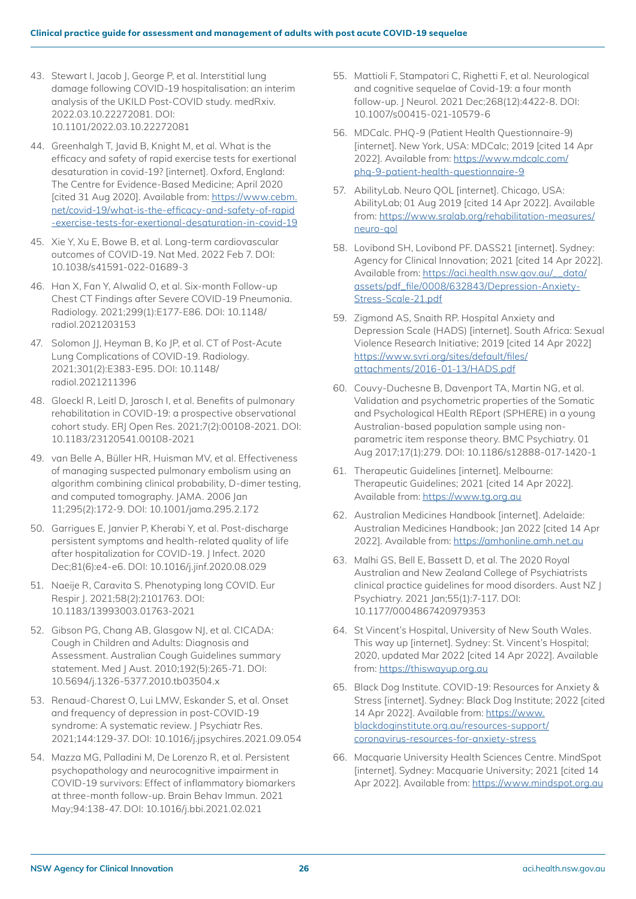- 43. Stewart I, Jacob J, George P, et al. Interstitial lung damage following COVID-19 hospitalisation: an interim analysis of the UKILD Post-COVID study. medRxiv. 2022.03.10.22272081. DOI: 10.1101/2022.03.10.22272081
- 44. Greenhalgh T, Javid B, Knight M, et al. What is the efficacy and safety of rapid exercise tests for exertional desaturation in covid-19? [internet]. Oxford, England: The Centre for Evidence-Based Medicine; April 2020 [cited 31 Aug 2020]. Available from: [https://www.cebm.](https://www.cebm.net/covid-19/what-is-the-efficacy-and-safety-of-rapid-exercise-tests-for-exertional-desaturation-in-covid-19) [net/covid-19/what-is-the-efficacy-and-safety-of-rapid](https://www.cebm.net/covid-19/what-is-the-efficacy-and-safety-of-rapid-exercise-tests-for-exertional-desaturation-in-covid-19) [-exercise-tests-for-exertional-desaturation-in-covid-19](https://www.cebm.net/covid-19/what-is-the-efficacy-and-safety-of-rapid-exercise-tests-for-exertional-desaturation-in-covid-19)
- 45. Xie Y, Xu E, Bowe B, et al. Long-term cardiovascular outcomes of COVID-19. Nat Med. 2022 Feb 7. DOI: 10.1038/s41591-022-01689-3
- 46. Han X, Fan Y, Alwalid O, et al. Six-month Follow-up Chest CT Findings after Severe COVID-19 Pneumonia. Radiology. 2021;299(1):E177-E86. DOI: 10.1148/ radiol.2021203153
- 47. Solomon | |, Heyman B, Ko | P, et al. CT of Post-Acute Lung Complications of COVID-19. Radiology. 2021;301(2):E383-E95. DOI: 10.1148/ radiol.2021211396
- 48. Gloeckl R, Leitl D, Jarosch I, et al. Benefits of pulmonary rehabilitation in COVID-19: a prospective observational cohort study. ERJ Open Res. 2021;7(2):00108-2021. DOI: 10.1183/23120541.00108-2021
- 49. van Belle A, Büller HR, Huisman MV, et al. Effectiveness of managing suspected pulmonary embolism using an algorithm combining clinical probability, D-dimer testing, and computed tomography. JAMA. 2006 Jan 11;295(2):172-9. DOI: 10.1001/jama.295.2.172
- 50. Garrigues E, Janvier P, Kherabi Y, et al. Post-discharge persistent symptoms and health-related quality of life after hospitalization for COVID-19. J Infect. 2020 Dec;81(6):e4-e6. DOI: 10.1016/j.jinf.2020.08.029
- 51. Naeije R, Caravita S. Phenotyping long COVID. Eur Respir J. 2021;58(2):2101763. DOI: 10.1183/13993003.01763-2021
- 52. Gibson PG, Chang AB, Glasgow NJ, et al. CICADA: Cough in Children and Adults: Diagnosis and Assessment. Australian Cough Guidelines summary statement. Med J Aust. 2010;192(5):265-71. DOI: 10.5694/j.1326-5377.2010.tb03504.x
- 53. Renaud-Charest O, Lui LMW, Eskander S, et al. Onset and frequency of depression in post-COVID-19 syndrome: A systematic review. | Psychiatr Res. 2021;144:129-37. DOI: 10.1016/j.jpsychires.2021.09.054
- 54. Mazza MG, Palladini M, De Lorenzo R, et al. Persistent psychopathology and neurocognitive impairment in COVID-19 survivors: Effect of inflammatory biomarkers at three-month follow-up. Brain Behav Immun. 2021 May;94:138-47. DOI: 10.1016/j.bbi.2021.02.021
- 55. Mattioli F, Stampatori C, Righetti F, et al. Neurological and cognitive sequelae of Covid-19: a four month follow-up. J Neurol. 2021 Dec;268(12):4422-8. DOI: 10.1007/s00415-021-10579-6
- 56. MDCalc. PHQ-9 (Patient Health Questionnaire-9) [internet]. New York, USA: MDCalc; 2019 [cited 14 Apr 2022]. Available from: [https://www.mdcalc.com/](https://www.mdcalc.com/phq-9-patient-health-questionnaire-9) [phq-9-patient-health-questionnaire-9](https://www.mdcalc.com/phq-9-patient-health-questionnaire-9)
- 57. AbilityLab. Neuro QOL [internet]. Chicago, USA: AbilityLab; 01 Aug 2019 [cited 14 Apr 2022]. Available from: [https://www.sralab.org/rehabilitation-measures/](https://www.sralab.org/rehabilitation-measures/neuro-qol) [neuro-qol](https://www.sralab.org/rehabilitation-measures/neuro-qol)
- 58. Lovibond SH, Lovibond PF. DASS21 [internet]. Sydney: Agency for Clinical Innovation; 2021 [cited 14 Apr 2022]. Available from: [https://aci.health.nsw.gov.au/\\_\\_data/](https://aci.health.nsw.gov.au/__data/assets/pdf_file/0008/632843/Depression-Anxiety-Stress-Scale-21.pdf) [assets/pdf\\_file/0008/632843/Depression-Anxiety-](https://aci.health.nsw.gov.au/__data/assets/pdf_file/0008/632843/Depression-Anxiety-Stress-Scale-21.pdf)[Stress-Scale-21.pdf](https://aci.health.nsw.gov.au/__data/assets/pdf_file/0008/632843/Depression-Anxiety-Stress-Scale-21.pdf)
- 59. Zigmond AS, Snaith RP. Hospital Anxiety and Depression Scale (HADS) [internet]. South Africa: Sexual Violence Research Initiative; 2019 [cited 14 Apr 2022] [https://www.svri.org/sites/default/files/](https://www.svri.org/sites/default/files/attachments/2016-01-13/HADS.pdf) [attachments/2016-01-13/HADS.pdf](https://www.svri.org/sites/default/files/attachments/2016-01-13/HADS.pdf)
- 60. Couvy-Duchesne B, Davenport TA, Martin NG, et al. Validation and psychometric properties of the Somatic and Psychological HEalth REport (SPHERE) in a young Australian-based population sample using nonparametric item response theory. BMC Psychiatry. 01 Aug 2017;17(1):279. DOI: 10.1186/s12888-017-1420-1
- 61. Therapeutic Guidelines [internet]. Melbourne: Therapeutic Guidelines; 2021 [cited 14 Apr 2022]. Available from: <https://www.tg.org.au>
- 62. Australian Medicines Handbook [internet]. Adelaide: Australian Medicines Handbook; Jan 2022 [cited 14 Apr 2022]. Available from: <https://amhonline.amh.net.au>
- 63. Malhi GS, Bell E, Bassett D, et al. The 2020 Royal Australian and New Zealand College of Psychiatrists clinical practice guidelines for mood disorders. Aust NZ J Psychiatry. 2021 Jan;55(1):7-117. DOI: 10.1177/0004867420979353
- 64. St Vincent's Hospital, University of New South Wales. This way up [internet]. Sydney: St. Vincent's Hospital; 2020, updated Mar 2022 [cited 14 Apr 2022]. Available from:<https://thiswayup.org.au>
- 65. Black Dog Institute. COVID-19: Resources for Anxiety & Stress [internet]. Sydney: Black Dog Institute; 2022 [cited 14 Apr 2022]. Available from: [https://www.](https://www.blackdoginstitute.org.au/resources-support/coronavirus-resources-for-anxiety-stress) [blackdoginstitute.org.au/resources-support/](https://www.blackdoginstitute.org.au/resources-support/coronavirus-resources-for-anxiety-stress) [coronavirus-resources-for-anxiety-stress](https://www.blackdoginstitute.org.au/resources-support/coronavirus-resources-for-anxiety-stress)
- 66. Macquarie University Health Sciences Centre. MindSpot [internet]. Sydney: Macquarie University; 2021 [cited 14 Apr 2022]. Available from: <https://www.mindspot.org.au>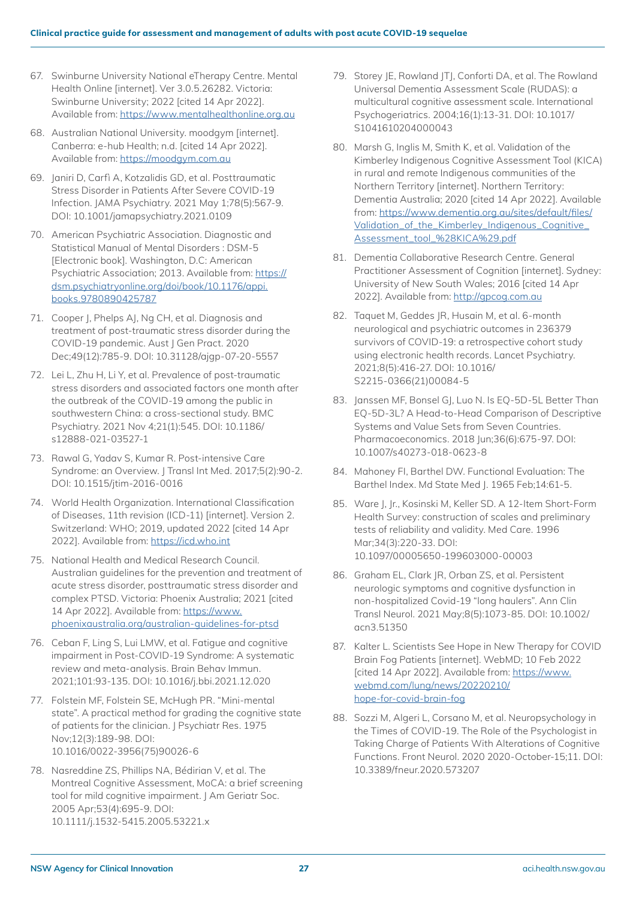- 67. Swinburne University National eTherapy Centre. Mental Health Online [internet]. Ver 3.0.5.26282. Victoria: Swinburne University; 2022 [cited 14 Apr 2022]. Available from: <https://www.mentalhealthonline.org.au>
- 68. Australian National University. moodgym [internet]. Canberra: e-hub Health; n.d. [cited 14 Apr 2022]. Available from: <https://moodgym.com.au>
- 69. Janiri D, Carfì A, Kotzalidis GD, et al. Posttraumatic Stress Disorder in Patients After Severe COVID-19 Infection. JAMA Psychiatry. 2021 May 1;78(5):567-9. DOI: 10.1001/jamapsychiatry.2021.0109
- 70. American Psychiatric Association. Diagnostic and Statistical Manual of Mental Disorders : DSM-5 [Electronic book]. Washington, D.C: American Psychiatric Association; 2013. Available from: [https://](https://dsm.psychiatryonline.org/doi/book/10.1176/appi.books.9780890425787) [dsm.psychiatryonline.org/doi/book/10.1176/appi.](https://dsm.psychiatryonline.org/doi/book/10.1176/appi.books.9780890425787) [books.9780890425787](https://dsm.psychiatryonline.org/doi/book/10.1176/appi.books.9780890425787)
- 71. Cooper I, Phelps AI, Ng CH, et al. Diganosis and treatment of post-traumatic stress disorder during the COVID-19 pandemic. Aust | Gen Pract. 2020 Dec;49(12):785-9. DOI: 10.31128/ajgp-07-20-5557
- 72. Lei L, Zhu H, Li Y, et al. Prevalence of post-traumatic stress disorders and associated factors one month after the outbreak of the COVID-19 among the public in southwestern China: a cross-sectional study. BMC Psychiatry. 2021 Nov 4;21(1):545. DOI: 10.1186/ s12888-021-03527-1
- 73. Rawal G, Yadav S, Kumar R. Post-intensive Care Syndrome: an Overview. J Transl Int Med. 2017;5(2):90-2. DOI: 10.1515/jtim-2016-0016
- 74. World Health Organization. International Classification of Diseases, 11th revision (ICD-11) [internet]. Version 2. Switzerland: WHO; 2019, updated 2022 [cited 14 Apr 2022]. Available from: <https://icd.who.int>
- 75. National Health and Medical Research Council. Australian guidelines for the prevention and treatment of acute stress disorder, posttraumatic stress disorder and complex PTSD. Victoria: Phoenix Australia; 2021 [cited 14 Apr 2022]. Available from: [https://www.](https://www.phoenixaustralia.org/australian-guidelines-for-ptsd) [phoenixaustralia.org/australian-guidelines-for-ptsd](https://www.phoenixaustralia.org/australian-guidelines-for-ptsd)
- 76. Ceban F, Ling S, Lui LMW, et al. Fatigue and cognitive impairment in Post-COVID-19 Syndrome: A systematic review and meta-analysis. Brain Behav Immun. 2021;101:93-135. DOI: 10.1016/j.bbi.2021.12.020
- 77. Folstein MF, Folstein SE, McHugh PR. "Mini-mental state". A practical method for grading the cognitive state of patients for the clinician. J Psychiatr Res. 1975 Nov;12(3):189-98. DOI: 10.1016/0022-3956(75)90026-6
- 78. Nasreddine ZS, Phillips NA, Bédirian V, et al. The Montreal Cognitive Assessment, MoCA: a brief screening tool for mild cognitive impairment. J Am Geriatr Soc. 2005 Apr;53(4):695-9. DOI: 10.1111/j.1532-5415.2005.53221.x
- 79. Storey JE, Rowland JTJ, Conforti DA, et al. The Rowland Universal Dementia Assessment Scale (RUDAS): a multicultural cognitive assessment scale. International Psychogeriatrics. 2004;16(1):13-31. DOI: 10.1017/ S1041610204000043
- 80. Marsh G, Inglis M, Smith K, et al. Validation of the Kimberley Indigenous Cognitive Assessment Tool (KICA) in rural and remote Indigenous communities of the Northern Territory [internet]. Northern Territory: Dementia Australia; 2020 [cited 14 Apr 2022]. Available from: [https://www.dementia.org.au/sites/default/files/](https://www.dementia.org.au/sites/default/files/Validation_of_the_Kimberley_Indigenous_Cognitive_Assessment_tool_%28KICA%29.pdf) [Validation\\_of\\_the\\_Kimberley\\_Indigenous\\_Cognitive\\_](https://www.dementia.org.au/sites/default/files/Validation_of_the_Kimberley_Indigenous_Cognitive_Assessment_tool_%28KICA%29.pdf) [Assessment\\_tool\\_%28KICA%29.pdf](https://www.dementia.org.au/sites/default/files/Validation_of_the_Kimberley_Indigenous_Cognitive_Assessment_tool_%28KICA%29.pdf)
- 81. Dementia Collaborative Research Centre. General Practitioner Assessment of Cognition [internet]. Sydney: University of New South Wales; 2016 [cited 14 Apr 2022]. Available from: <http://gpcog.com.au>
- 82. Taquet M, Geddes JR, Husain M, et al. 6-month neurological and psychiatric outcomes in 236379 survivors of COVID-19: a retrospective cohort study using electronic health records. Lancet Psychiatry. 2021;8(5):416-27. DOI: 10.1016/ S2215-0366(21)00084-5
- 83. Janssen MF, Bonsel GJ, Luo N. Is EQ-5D-5L Better Than EQ-5D-3L? A Head-to-Head Comparison of Descriptive Systems and Value Sets from Seven Countries. Pharmacoeconomics. 2018 Jun;36(6):675-97. DOI: 10.1007/s40273-018-0623-8
- 84. Mahoney FI, Barthel DW. Functional Evaluation: The Barthel Index. Md State Med J. 1965 Feb;14:61-5.
- 85. Ware J, Jr., Kosinski M, Keller SD. A 12-Item Short-Form Health Survey: construction of scales and preliminary tests of reliability and validity. Med Care. 1996 Mar;34(3):220-33. DOI: 10.1097/00005650-199603000-00003
- 86. Graham EL, Clark JR, Orban ZS, et al. Persistent neurologic symptoms and cognitive dysfunction in non-hospitalized Covid-19 "long haulers". Ann Clin Transl Neurol. 2021 May;8(5):1073-85. DOI: 10.1002/ acn3.51350
- 87. Kalter L. Scientists See Hope in New Therapy for COVID Brain Fog Patients [internet]. WebMD; 10 Feb 2022 [cited 14 Apr 2022]. Available from: [https://www.](https://www.webmd.com/lung/news/20220210/hope-for-covid-brain-fog) [webmd.com/lung/news/20220210/](https://www.webmd.com/lung/news/20220210/hope-for-covid-brain-fog) [hope-for-covid-brain-fog](https://www.webmd.com/lung/news/20220210/hope-for-covid-brain-fog)
- 88. Sozzi M, Algeri L, Corsano M, et al. Neuropsychology in the Times of COVID-19. The Role of the Psychologist in Taking Charge of Patients With Alterations of Cognitive Functions. Front Neurol. 2020 2020-October-15;11. DOI: 10.3389/fneur.2020.573207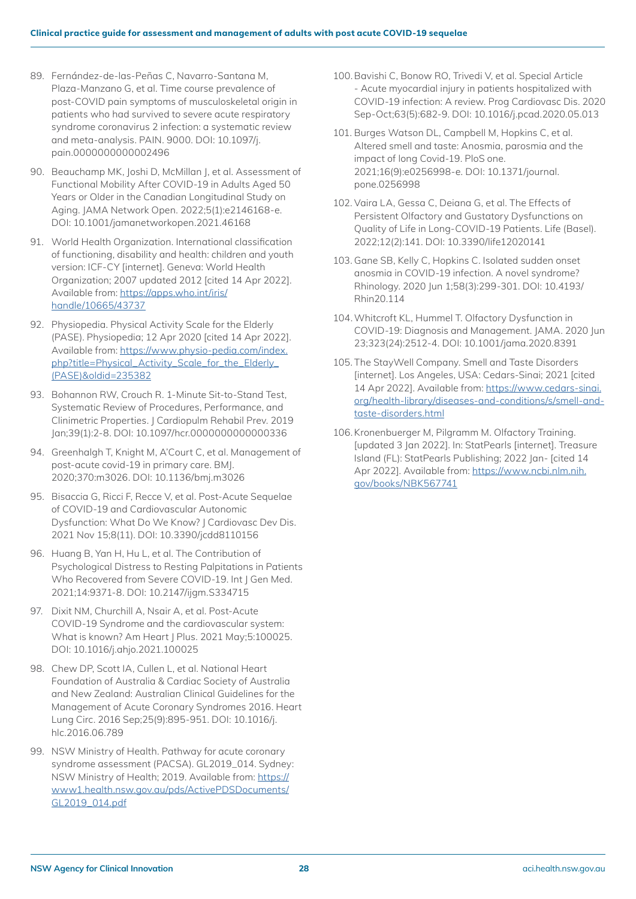- 89. Fernández-de-las-Peñas C, Navarro-Santana M, Plaza-Manzano G, et al. Time course prevalence of post-COVID pain symptoms of musculoskeletal origin in patients who had survived to severe acute respiratory syndrome coronavirus 2 infection: a systematic review and meta-analysis. PAIN. 9000. DOI: 10.1097/j. pain.0000000000002496
- 90. Beauchamp MK, Joshi D, McMillan J, et al. Assessment of Functional Mobility After COVID-19 in Adults Aged 50 Years or Older in the Canadian Longitudinal Study on Aging. JAMA Network Open. 2022;5(1):e2146168-e. DOI: 10.1001/jamanetworkopen.2021.46168
- 91. World Health Organization. International classification of functioning, disability and health: children and youth version: ICF-CY [internet]. Geneva: World Health Organization; 2007 updated 2012 [cited 14 Apr 2022]. Available from: [https://apps.who.int/iris/](https://apps.who.int/iris/handle/10665/43737) [handle/10665/43737](https://apps.who.int/iris/handle/10665/43737)
- 92. Physiopedia. Physical Activity Scale for the Elderly (PASE). Physiopedia; 12 Apr 2020 [cited 14 Apr 2022]. Available from: [https://www.physio-pedia.com/index.](https://www.physio-pedia.com/index.php?title=Physical_Activity_Scale_for_the_Elderly_(PASE)&oldid=235382) [php?title=Physical\\_Activity\\_Scale\\_for\\_the\\_Elderly\\_](https://www.physio-pedia.com/index.php?title=Physical_Activity_Scale_for_the_Elderly_(PASE)&oldid=235382) [\(PASE\)&oldid=235382](https://www.physio-pedia.com/index.php?title=Physical_Activity_Scale_for_the_Elderly_(PASE)&oldid=235382)
- 93. Bohannon RW, Crouch R. 1-Minute Sit-to-Stand Test, Systematic Review of Procedures, Performance, and Clinimetric Properties. J Cardiopulm Rehabil Prev. 2019 Jan;39(1):2-8. DOI: 10.1097/hcr.0000000000000336
- 94. Greenhalgh T, Knight M, A'Court C, et al. Management of post-acute covid-19 in primary care. BMJ. 2020;370:m3026. DOI: 10.1136/bmj.m3026
- 95. Bisaccia G, Ricci F, Recce V, et al. Post-Acute Sequelae of COVID-19 and Cardiovascular Autonomic Dysfunction: What Do We Know? | Cardiovasc Dev Dis. 2021 Nov 15;8(11). DOI: 10.3390/jcdd8110156
- 96. Huang B, Yan H, Hu L, et al. The Contribution of Psychological Distress to Resting Palpitations in Patients Who Recovered from Severe COVID-19. Int | Gen Med. 2021;14:9371-8. DOI: 10.2147/ijgm.S334715
- 97. Dixit NM, Churchill A, Nsair A, et al. Post-Acute COVID-19 Syndrome and the cardiovascular system: What is known? Am Heart J Plus. 2021 May;5:100025. DOI: 10.1016/j.ahjo.2021.100025
- 98. Chew DP, Scott IA, Cullen L, et al. National Heart Foundation of Australia & Cardiac Society of Australia and New Zealand: Australian Clinical Guidelines for the Management of Acute Coronary Syndromes 2016. Heart Lung Circ. 2016 Sep;25(9):895-951. DOI: 10.1016/j. hlc.2016.06.789
- 99. NSW Ministry of Health. Pathway for acute coronary syndrome assessment (PACSA). GL2019\_014. Sydney: NSW Ministry of Health; 2019. Available from: [https://](https://www1.health.nsw.gov.au/pds/ActivePDSDocuments/GL2019_014.pdf) [www1.health.nsw.gov.au/pds/ActivePDSDocuments/](https://www1.health.nsw.gov.au/pds/ActivePDSDocuments/GL2019_014.pdf) [GL2019\\_014.pdf](https://www1.health.nsw.gov.au/pds/ActivePDSDocuments/GL2019_014.pdf)
- 100.Bavishi C, Bonow RO, Trivedi V, et al. Special Article - Acute myocardial injury in patients hospitalized with COVID-19 infection: A review. Prog Cardiovasc Dis. 2020 Sep-Oct;63(5):682-9. DOI: 10.1016/j.pcad.2020.05.013
- 101. Burges Watson DL, Campbell M, Hopkins C, et al. Altered smell and taste: Anosmia, parosmia and the impact of long Covid-19. PloS one. 2021;16(9):e0256998-e. DOI: 10.1371/journal. pone.0256998
- 102. Vaira LA, Gessa C, Deiana G, et al. The Effects of Persistent Olfactory and Gustatory Dysfunctions on Quality of Life in Long-COVID-19 Patients. Life (Basel). 2022;12(2):141. DOI: 10.3390/life12020141
- 103. Gane SB, Kelly C, Hopkins C. Isolated sudden onset anosmia in COVID-19 infection. A novel syndrome? Rhinology. 2020 Jun 1;58(3):299-301. DOI: 10.4193/ Rhin20.114
- 104.Whitcroft KL, Hummel T. Olfactory Dysfunction in COVID-19: Diagnosis and Management. JAMA. 2020 Jun 23;323(24):2512-4. DOI: 10.1001/jama.2020.8391
- 105. The StayWell Company. Smell and Taste Disorders [internet]. Los Angeles, USA: Cedars-Sinai; 2021 [cited 14 Apr 2022]. Available from: [https://www.cedars-sinai.](https://www.cedars-sinai.org/health-library/diseases-and-conditions/s/smell-and-taste-disorders.html) [org/health-library/diseases-and-conditions/s/smell-and](https://www.cedars-sinai.org/health-library/diseases-and-conditions/s/smell-and-taste-disorders.html)[taste-disorders.html](https://www.cedars-sinai.org/health-library/diseases-and-conditions/s/smell-and-taste-disorders.html)
- 106.Kronenbuerger M, Pilgramm M. Olfactory Training. [updated 3 Jan 2022]. In: StatPearls [internet]. Treasure Island (FL): StatPearls Publishing; 2022 Jan- [cited 14 Apr 2022]. Available from: [https://www.ncbi.nlm.nih.](https://www.ncbi.nlm.nih.gov/books/NBK567741) [gov/books/NBK567741](https://www.ncbi.nlm.nih.gov/books/NBK567741)